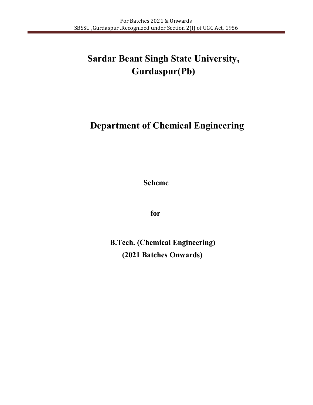# **Department of Chemical Engineering**

**Scheme** 

**for** 

**B.Tech. (Chemical Engineering) (2021 Batches Onwards)**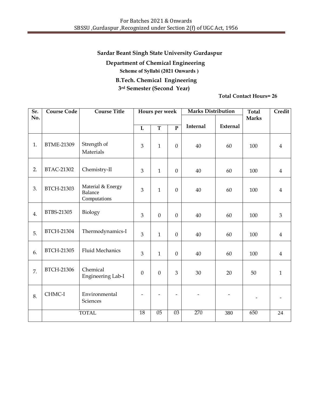**Department of Chemical Engineering Scheme of Syllabi (2021 Onwards ) B.Tech. Chemical Engineering 3rd Semester (Second Year)**

| Sr.<br>No. | <b>Course Code</b> | <b>Course Title</b>                                 |                | Hours per week          |                          | <b>Marks Distribution</b> |          | <b>Total</b><br><b>Marks</b> | Credit         |
|------------|--------------------|-----------------------------------------------------|----------------|-------------------------|--------------------------|---------------------------|----------|------------------------------|----------------|
|            |                    |                                                     | $\overline{L}$ | $\overline{\mathbf{T}}$ | $\overline{P}$           | <b>Internal</b>           | External |                              |                |
| 1.         | <b>BTME-21309</b>  | Strength of<br>Materials                            | 3              | $\mathbf{1}$            | $\boldsymbol{0}$         | 40                        | 60       | 100                          | $\overline{4}$ |
| 2.         | <b>BTAC-21302</b>  | Chemistry-II                                        | 3              | $\mathbf{1}$            | $\boldsymbol{0}$         | 40                        | 60       | 100                          | $\overline{4}$ |
| 3.         | <b>BTCH-21303</b>  | Material & Energy<br><b>Balance</b><br>Computations | 3              | $\mathbf{1}$            | $\mathbf{0}$             | 40                        | 60       | 100                          | $\overline{4}$ |
| 4.         | BTBS-21305         | Biology                                             | 3              | $\mathbf{0}$            | $\boldsymbol{0}$         | 40                        | 60       | 100                          | 3              |
| 5.         | BTCH-21304         | Thermodynamics-I                                    | $\mathfrak{Z}$ | $\mathbf{1}$            | $\boldsymbol{0}$         | 40                        | 60       | 100                          | $\overline{4}$ |
| 6.         | BTCH-21305         | <b>Fluid Mechanics</b>                              | 3              | $\mathbf{1}$            | $\boldsymbol{0}$         | 40                        | 60       | 100                          | $\overline{4}$ |
| 7.         | <b>BTCH-21306</b>  | Chemical<br>Engineering Lab-I                       | $\mathbf{0}$   | $\mathbf{0}$            | 3                        | 30                        | 20       | 50                           | $\mathbf{1}$   |
| 8.         | CHMC-I             | Environmental<br>Sciences                           | $\overline{a}$ |                         | $\overline{\phantom{m}}$ |                           | -        | $\overline{\phantom{a}}$     |                |
|            |                    | <b>TOTAL</b>                                        | 18             | 05                      | 03                       | 270                       | 380      | 650                          | 24             |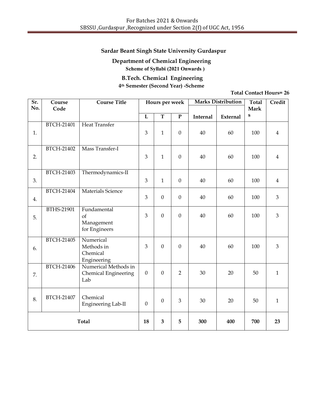# **Department of Chemical Engineering**

**Scheme of Syllabi (2021 Onwards )**

# **B.Tech. Chemical Engineering 4th Semester (Second Year) -Scheme**

| $\overline{\text{Sr.}}$ | Course            | <b>Course Title</b>                 |                | Hours per week   |                         |                 | <b>Marks Distribution</b> | <b>Total</b> | Credit         |
|-------------------------|-------------------|-------------------------------------|----------------|------------------|-------------------------|-----------------|---------------------------|--------------|----------------|
| No.                     | Code              |                                     |                |                  |                         |                 |                           | <b>Mark</b>  |                |
|                         |                   |                                     | $\overline{L}$ | $\overline{T}$   | $\overline{\mathbf{P}}$ | <b>Internal</b> | <b>External</b>           | ${\bf S}$    |                |
|                         | <b>BTCH-21401</b> | <b>Heat Transfer</b>                |                |                  |                         |                 |                           |              |                |
| 1.                      |                   |                                     | 3              | $\mathbf{1}$     | $\boldsymbol{0}$        | 40              | 60                        | 100          | $\overline{4}$ |
|                         |                   |                                     |                |                  |                         |                 |                           |              |                |
|                         | BTCH-21402        | Mass Transfer-I                     |                |                  |                         |                 |                           |              |                |
| 2.                      |                   |                                     | $\overline{3}$ | $\mathbf{1}$     | $\mathbf{0}$            | 40              | 60                        | 100          | $\overline{4}$ |
|                         |                   |                                     |                |                  |                         |                 |                           |              |                |
|                         | BTCH-21403        | Thermodynamics-II                   |                |                  |                         |                 |                           |              |                |
| 3.                      |                   |                                     | 3              | $\mathbf{1}$     | $\boldsymbol{0}$        | 40              | 60                        | 100          | $\overline{4}$ |
|                         | BTCH-21404        | Materials Science                   |                |                  |                         |                 |                           |              |                |
|                         |                   |                                     | $\overline{3}$ | $\mathbf{0}$     | $\boldsymbol{0}$        | 40              | 60                        | 100          | $\mathfrak{Z}$ |
| 4.                      |                   |                                     |                |                  |                         |                 |                           |              |                |
|                         | BTHS-21901        | Fundamental                         |                |                  |                         |                 |                           |              |                |
| 5.                      |                   | of                                  | $\overline{3}$ | $\mathbf{0}$     | $\mathbf{0}$            | 40              | 60                        | 100          | $\overline{3}$ |
|                         |                   | Management                          |                |                  |                         |                 |                           |              |                |
|                         |                   | for Engineers                       |                |                  |                         |                 |                           |              |                |
|                         | <b>BTCH-21405</b> | Numerical                           |                |                  |                         |                 |                           |              |                |
| 6.                      |                   | Methods in                          | 3              | $\boldsymbol{0}$ | $\mathbf{0}$            | 40              | 60                        | 100          | $\mathfrak{Z}$ |
|                         |                   | Chemical                            |                |                  |                         |                 |                           |              |                |
|                         | <b>BTCH-21406</b> | Engineering<br>Numerical Methods in |                |                  |                         |                 |                           |              |                |
|                         |                   | Chemical Engineering                | $\mathbf{0}$   | $\boldsymbol{0}$ | $\overline{2}$          | 30              | 20                        | 50           | $\mathbf{1}$   |
| 7.                      |                   | Lab                                 |                |                  |                         |                 |                           |              |                |
|                         |                   |                                     |                |                  |                         |                 |                           |              |                |
|                         | BTCH-21407        | Chemical                            |                |                  |                         |                 |                           |              |                |
| 8.                      |                   | Engineering Lab-II                  | $\theta$       | $\boldsymbol{0}$ | 3                       | 30              | 20                        | 50           | $\mathbf{1}$   |
|                         |                   |                                     |                |                  |                         |                 |                           |              |                |
| <b>Total</b>            |                   |                                     |                |                  |                         |                 |                           |              |                |
|                         |                   |                                     | 18             | 3                | 5                       | 300             | 400                       | 700          | 23             |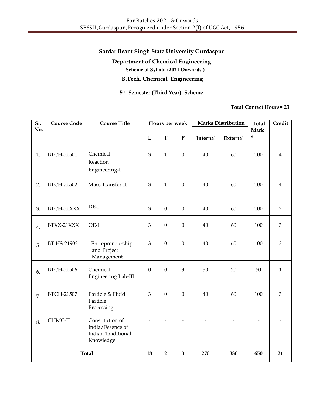**Department of Chemical Engineering**

**Scheme of Syllabi (2021 Onwards )**

**B.Tech. Chemical Engineering**

**5th Semester (Third Year) -Scheme**

| Sr. | <b>Course Code</b> | Course Title                                                                  |                  | Hours per week        |                  |          | <b>Marks Distribution</b> | <b>Total</b> | Credit         |
|-----|--------------------|-------------------------------------------------------------------------------|------------------|-----------------------|------------------|----------|---------------------------|--------------|----------------|
| No. |                    |                                                                               |                  |                       |                  |          |                           | <b>Mark</b>  |                |
|     |                    |                                                                               | $\mathbf L$      | $\overline{\text{T}}$ | ${\bf P}$        | Internal | External                  | ${\bf S}$    |                |
| 1.  | BTCH-21501         | Chemical<br>Reaction<br>Engineering-I                                         | 3                | $\mathbf{1}$          | $\mathbf{0}$     | 40       | 60                        | 100          | $\overline{4}$ |
| 2.  | BTCH-21502         | Mass Transfer-II                                                              | 3                | $\mathbf{1}$          | $\mathbf{0}$     | 40       | 60                        | 100          | $\overline{4}$ |
| 3.  | BTCH-21XXX         | $DE-I$                                                                        | 3                | $\boldsymbol{0}$      | $\boldsymbol{0}$ | 40       | 60                        | 100          | $\mathfrak{Z}$ |
| 4.  | BTXX-21XXX         | OE-I                                                                          | 3                | $\mathbf{0}$          | $\mathbf{0}$     | 40       | 60                        | 100          | 3              |
| 5.  | BT HS-21902        | Entrepreneurship<br>and Project<br>Management                                 | 3                | $\mathbf{0}$          | $\mathbf{0}$     | 40       | 60                        | 100          | 3              |
| 6.  | <b>BTCH-21506</b>  | Chemical<br>Engineering Lab-III                                               | $\boldsymbol{0}$ | $\mathbf{0}$          | 3                | 30       | 20                        | 50           | $\mathbf{1}$   |
| 7.  | BTCH-21507         | Particle & Fluid<br>Particle<br>Processing                                    | 3                | $\mathbf{0}$          | $\mathbf{0}$     | 40       | 60                        | 100          | $\mathfrak{Z}$ |
| 8.  | CHMC-II            | Constitution of<br>India/Essence of<br><b>Indian Traditional</b><br>Knowledge |                  |                       |                  |          |                           |              |                |
|     | <b>Total</b>       |                                                                               |                  | $\overline{2}$        | 3                | 270      | 380                       | 650          | 21             |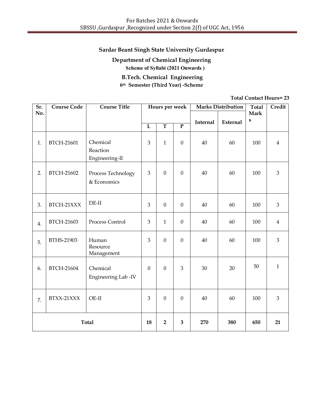**Department of Chemical Engineering Scheme of Syllabi (2021 Onwards )**

**B.Tech. Chemical Engineering 6th Semester (Third Year) -Scheme**

| Sr.          | <b>Course Code</b> | <b>Course Title</b>                    |                | Hours per week |                  |                 | <b>Marks Distribution</b> | <b>Total</b> | Credit         |
|--------------|--------------------|----------------------------------------|----------------|----------------|------------------|-----------------|---------------------------|--------------|----------------|
| No.          |                    |                                        |                |                |                  |                 |                           | Mark<br>S    |                |
|              |                    |                                        | $\mathbf L$    | $\overline{T}$ | $\overline{P}$   | <b>Internal</b> | External                  |              |                |
| 1.           | BTCH-21601         | Chemical<br>Reaction<br>Engineering-II | 3              | $\mathbf{1}$   | $\boldsymbol{0}$ | 40              | 60                        | 100          | $\overline{4}$ |
| 2.           | BTCH-21602         | Process Technology<br>& Economics      | $\overline{3}$ | $\overline{0}$ | $\mathbf{0}$     | 40              | 60                        | 100          | 3              |
| 3.           | BTCH-21XXX         | $DE-II$                                | 3              | $\mathbf{0}$   | $\boldsymbol{0}$ | 40              | 60                        | 100          | 3              |
| 4.           | BTCH-21603         | Process Control                        | 3              | $\mathbf{1}$   | $\boldsymbol{0}$ | 40              | 60                        | 100          | $\overline{4}$ |
| 5.           | BTHS-21903         | Human<br>Resource<br>Management        | $\overline{3}$ | $\mathbf{0}$   | $\overline{0}$   | 40              | 60                        | 100          | 3              |
| 6.           | BTCH-21604         | Chemical<br>Engineering Lab -IV        | $\mathbf{0}$   | $\mathbf{0}$   | 3                | 30              | 20                        | 50           | $\mathbf{1}$   |
| 7.           | BTXX-21XXX         | $OE-II$                                | 3              | $\overline{0}$ | $\mathbf{0}$     | 40              | 60                        | 100          | 3              |
| <b>Total</b> |                    |                                        | 18             | $\overline{2}$ | 3                | 270             | 380                       | 650          | 21             |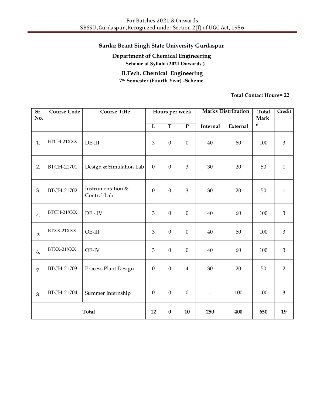# **Department of Chemical Engineering Scheme of Syllabi (2021 Onwards ) B.Tech. Chemical Engineering**

**7th Semester (Fourth Year) -Scheme**

| Sr.          | <b>Course Code</b> | <b>Course Title</b>              |                       | Hours per week   |                         |                          | <b>Marks Distribution</b> | <b>Total</b> | Credit         |
|--------------|--------------------|----------------------------------|-----------------------|------------------|-------------------------|--------------------------|---------------------------|--------------|----------------|
| No.          |                    |                                  |                       |                  |                         |                          |                           | <b>Mark</b>  |                |
|              |                    |                                  | $\overline{\text{L}}$ | $\overline{T}$   | $\overline{\mathbf{P}}$ | Internal                 | External                  | S            |                |
| 1.           | BTCH-21XXX         | $DE-III$                         | 3                     | $\boldsymbol{0}$ | $\boldsymbol{0}$        | 40                       | 60                        | 100          | $\mathfrak{B}$ |
| 2.           | BTCH-21701         | Design & Simulation Lab          | $\boldsymbol{0}$      | $\boldsymbol{0}$ | $\mathfrak{Z}$          | 30                       | 20                        | 50           | $\mathbf{1}$   |
| 3.           | BTCH-21702         | Instrumentation &<br>Control Lab | $\mathbf{0}$          | $\boldsymbol{0}$ | $\mathfrak{B}$          | 30                       | 20                        | 50           | $\mathbf{1}$   |
| 4.           | BTCH-21XXX         | $DE - IV$                        | $\overline{3}$        | $\boldsymbol{0}$ | $\overline{0}$          | 40                       | 60                        | 100          | $\mathfrak{B}$ |
| 5.           | BTXX-21XXX         | OE-III                           | 3                     | $\mathbf{0}$     | $\mathbf{0}$            | 40                       | 60                        | 100          | 3              |
| 6.           | BTXX-21XXX         | OE-IV                            | 3                     | $\boldsymbol{0}$ | $\boldsymbol{0}$        | 40                       | 60                        | 100          | 3              |
| 7.           | BTCH-21703         | Process Plant Design             | $\boldsymbol{0}$      | $\mathbf{0}$     | $\overline{4}$          | 30                       | 20                        | 50           | $\overline{2}$ |
| 8.           | BTCH-21704         | Summer Internship                | $\boldsymbol{0}$      | $\boldsymbol{0}$ | $\boldsymbol{0}$        | $\overline{\phantom{a}}$ | 100                       | 100          | $\mathfrak{Z}$ |
| <b>Total</b> |                    |                                  | 12                    | $\bf{0}$         | 10                      | 250                      | 400                       | 650          | 19             |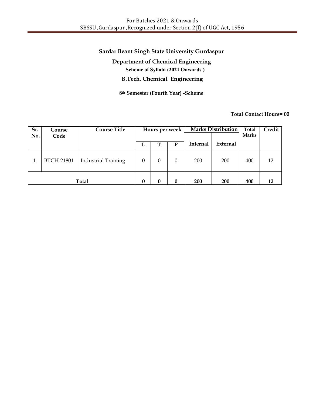**Department of Chemical Engineering Scheme of Syllabi (2021 Onwards ) B.Tech. Chemical Engineering**

**8th Semester (Fourth Year) -Scheme**

| Sr. | Course            | <b>Course Title</b>        |          |   | Hours per week |                 | Marks Distribution | Total        | Credit |
|-----|-------------------|----------------------------|----------|---|----------------|-----------------|--------------------|--------------|--------|
| No. | Code              |                            |          |   |                |                 |                    | <b>Marks</b> |        |
|     |                   |                            | L        | т | P              | <b>Internal</b> | External           |              |        |
| 1.  | <b>BTCH-21801</b> | <b>Industrial Training</b> | $\theta$ | 0 | 0              | 200             | 200                | 400          | 12     |
|     |                   | <b>Total</b>               | 0        | 0 | $\bf{0}$       | 200             | 200                | 400          | 12     |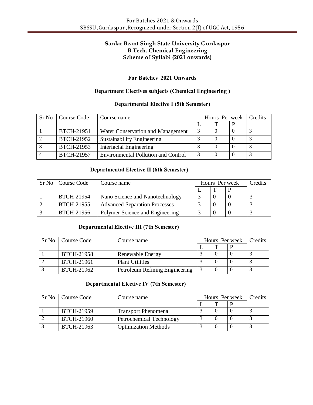# **Sardar Beant Singh State University Gurdaspur B.Tech. Chemical Engineering Scheme of Syllabi (2021 onwards)**

# **For Batches 2021 Onwards**

### **Department Electives subjects (Chemical Engineering )**

#### **Departmental Elective I (5th Semester)**

| Sr No | Course Code       | Course name                                | Hours Per week |   | Credits |
|-------|-------------------|--------------------------------------------|----------------|---|---------|
|       |                   |                                            |                | P |         |
|       | BTCH-21951        | Water Conservation and Management          |                |   |         |
|       | BTCH-21952        | <b>Sustainability Engineering</b>          |                |   |         |
|       | BTCH-21953        | <b>Interfacial Engineering</b>             |                |   |         |
|       | <b>BTCH-21957</b> | <b>Environmental Pollution and Control</b> |                |   |         |

### **Departmental Elective II (6th Semester)**

| Sr No   Course Code | Course name                          | Hours Per week | Credits |
|---------------------|--------------------------------------|----------------|---------|
|                     |                                      |                |         |
| BTCH-21954          | Nano Science and Nanotechnology      |                |         |
| BTCH-21955          | <b>Advanced Separation Processes</b> |                |         |
| BTCH-21956          | Polymer Science and Engineering      |                |         |

### **Departmental Elective III (7th Semester)**

| Sr No   Course Code | Course name                    |  | Hours Per week | Credits |
|---------------------|--------------------------------|--|----------------|---------|
|                     |                                |  |                |         |
| <b>BTCH-21958</b>   | Renewable Energy               |  |                |         |
| BTCH-21961          | <b>Plant Utilities</b>         |  |                |         |
| BTCH-21962          | Petroleum Refining Engineering |  |                |         |

#### **Departmental Elective IV (7th Semester)**

| Sr No   Course Code | Course name                 |  | Hours Per week | Credits |
|---------------------|-----------------------------|--|----------------|---------|
|                     |                             |  |                |         |
| BTCH-21959          | <b>Transport Phenomena</b>  |  |                |         |
| <b>BTCH-21960</b>   | Petrochemical Technology    |  |                |         |
| BTCH-21963          | <b>Optimization Methods</b> |  |                |         |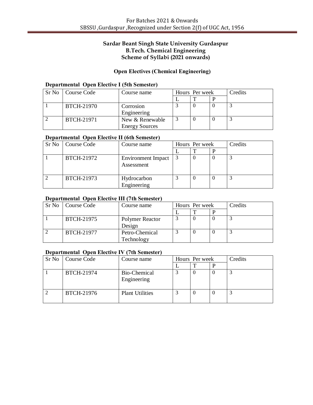# **Sardar Beant Singh State University Gurdaspur B.Tech. Chemical Engineering Scheme of Syllabi (2021 onwards)**

# **Open Electives (Chemical Engineering)**

### **Departmental Open Elective I (5th Semester)**

| Sr No   Course Code | Course name           | Hours Per week |  | Credits |
|---------------------|-----------------------|----------------|--|---------|
|                     |                       |                |  |         |
| BTCH-21970          | Corrosion             |                |  |         |
|                     | Engineering           |                |  |         |
| <b>BTCH-21971</b>   | New & Renewable       |                |  |         |
|                     | <b>Energy Sources</b> |                |  |         |

#### **Departmental Open Elective II (6th Semester)**

| Sr No   Course Code | Course name                             | Hours Per week |  | Credits |
|---------------------|-----------------------------------------|----------------|--|---------|
|                     |                                         |                |  |         |
| BTCH-21972          | <b>Environment Impact</b><br>Assessment |                |  |         |
| BTCH-21973          | Hydrocarbon<br>Engineering              |                |  |         |

#### **Departmental Open Elective III (7th Semester)**

| Sr No   Course Code | Course name     | Hours Per week |  | Credits |
|---------------------|-----------------|----------------|--|---------|
|                     |                 |                |  |         |
| BTCH-21975          | Polymer Reactor |                |  |         |
|                     | Design          |                |  |         |
| BTCH-21977          | Petro-Chemical  |                |  |         |
|                     | Technology      |                |  |         |

# **Departmental Open Elective IV (7th Semester)**

| Sr No   Course Code | Course name                 | Hours Per week |  | Credits |  |
|---------------------|-----------------------------|----------------|--|---------|--|
|                     |                             |                |  |         |  |
| BTCH-21974          | Bio-Chemical<br>Engineering |                |  |         |  |
| BTCH-21976          | <b>Plant Utilities</b>      |                |  |         |  |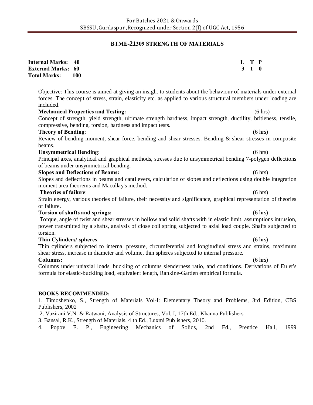# **BTME-21309 STRENGTH OF MATERIALS**

| <b>Internal Marks:</b><br><b>External Marks: 60</b><br><b>Total Marks:</b> | 40<br><b>100</b>                                                                                                                                                                                                                                                                                                                                                                                                     | L<br>$\mathbf{3}$ | T P<br>$\mathbf{1}$ | $\mathbf{0}$       |
|----------------------------------------------------------------------------|----------------------------------------------------------------------------------------------------------------------------------------------------------------------------------------------------------------------------------------------------------------------------------------------------------------------------------------------------------------------------------------------------------------------|-------------------|---------------------|--------------------|
| included.                                                                  | Objective: This course is aimed at giving an insight to students about the behaviour of materials under external<br>forces. The concept of stress, strain, elasticity etc. as applied to various structural members under loading are                                                                                                                                                                                |                   |                     |                    |
|                                                                            | <b>Mechanical Properties and Testing:</b><br>Concept of strength, yield strength, ultimate strength hardness, impact strength, ductility, britleness, tensile,<br>compressive, bending, torsion, hardness and impact tests.                                                                                                                                                                                          |                   |                     | (6 hrs)            |
| <b>Theory of Bending:</b>                                                  | Review of bending moment, shear force, bending and shear stresses. Bending & shear stresses in composite                                                                                                                                                                                                                                                                                                             |                   |                     | (6 hrs)            |
| beams.<br><b>Unsymmetrical Bending:</b>                                    | Principal axes, analytical and graphical methods, stresses due to unsymmetrical bending 7-polygen deflections<br>of beams under unsymmetrical bending.                                                                                                                                                                                                                                                               |                   |                     | $(6 \text{ hrs})$  |
|                                                                            | <b>Slopes and Deflections of Beams:</b><br>Slopes and deflections in beams and cantilevers, calculation of slopes and deflections using double integration<br>moment area theorems and Macullay's method.                                                                                                                                                                                                            |                   |                     | (6 hrs)            |
| <b>Theories of failure:</b><br>of failure.                                 | Strain energy, various theories of failure, their necessity and significance, graphical representation of theories                                                                                                                                                                                                                                                                                                   |                   |                     | (6 hrs)            |
| torsion.                                                                   | <b>Torsion of shafts and springs:</b><br>Torque, angle of twist and shear stresses in hollow and solid shafts with in elastic limit, assumptions intrusion,<br>power transmitted by a shafts, analysis of close coil spring subjected to axial load couple. Shafts subjected to                                                                                                                                      |                   |                     | (6 hrs)            |
| Thin Cylinders/ spheres:<br><b>Columns:</b>                                | Thin cylinders subjected to internal pressure, circumferential and longitudinal stress and strains, maximum<br>shear stress, increase in diameter and volume, thin spheres subjected to internal pressure.<br>Columns under uniaxial loads, buckling of columns slenderness ratio, and conditions. Derivations of Euler's<br>formula for elastic-buckling load, equivalent length, Rankine-Garden empirical formula. |                   |                     | (6 hrs)<br>(6 hrs) |
| Publishers, 2002<br>Popov<br>4.                                            | <b>BOOKS RECOMMENDED:</b><br>1. Timoshenko, S., Strength of Materials Vol-I: Elementary Theory and Problems, 3rd Edition, CBS<br>2. Vazirani V.N. & Ratwani, Analysis of Structures, Vol. I, 17th Ed., Khanna Publishers<br>3. Bansal, R.K., Strength of Materials, 4 th Ed., Luxmi Publishers, 2010.<br>E. P., Engineering<br>Mechanics<br>of<br>Solids,<br>2nd<br>Ed.,                                             | Prentice          |                     | 1999<br>Hall,      |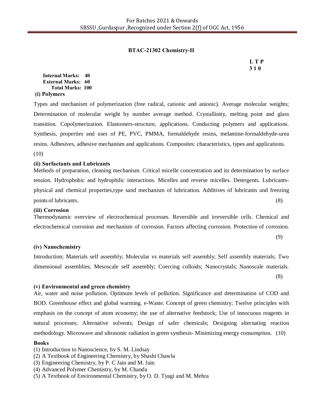### **BTAC-21302 Chemistry-II**

**L T P 3 1 0**

**Internal Marks: 40 External Marks: 60 Total Marks: 100**

**(i) Polymers**

Types and mechanism of polymerization (free radical, cationic and anionic). Average molecular weights; Determination of molecular weight by number average method. Crystallinity, melting point and glass transition. Copolymerization. Elastomers-structure, applications. Conducting polymers and applications. Synthesis, properties and uses of PE, PVC, PMMA, formaldehyde resins, melamine-formaldehyde-urea resins. Adhesives, adhesive mechanism and applications. Composites: characteristics, types and applications. (10)

#### **(ii) Surfactants and Lubricants**

Methods of preparation, cleaning mechanism. Critical micelle concentration and its determination by surface tension. Hydrophobic and hydrophilic interactions. Micelles and reverse micelles. Detergents. Lubricantsphysical and chemical properties,type sand mechanism of lubrication. Additives of lubricants and freezing points of lubricants. (8)  $(8)$ 

#### **(iii) Corrosion**

Thermodynamic overview of electrochemical processes. Reversible and irreversible cells. Chemical and electrochemical corrosion and mechanism of corrosion. Factors affecting corrosion. Protection of corrosion.

(9)

#### **(iv) Nanochemistry**

Introduction; Materials self assembly; Molecular vs materials self assembly; Self assembly materials; Two dimensional assemblies; Mesoscale self assembly; Coercing colloids; Nanocrystals; Nanoscale materials.

(8)

### **(v) Environmental and green chemistry**

Air, water and noise pollution. Optimum levels of pollution. Significance and determination of COD and BOD. Greenhouse effect and global warming. e-Waste. Concept of green chemistry; Twelve principles with emphasis on the concept of atom economy; the use of alternative feedstock; Use of innocuous reagents in natural processes; Alternative solvents; Design of safer chemicals; Designing alternating reaction methodology. Microwave and ultrasonic radiation in green synthesis- Minimizing energy consumption. (10)

#### **Books**

(1) Introduction to Nanoscience, by S. M. Lindsay

- (2) A Textbook of Engineering Chemistry, by Shashi Chawla
- (3) Engineering Chemistry, by P. C Jain and M. Jain
- (4) Advanced Polymer Chemistry, by M. Chanda
- (5) A Textbook of Environmental Chemistry, by O. D. Tyagi and M. Mehra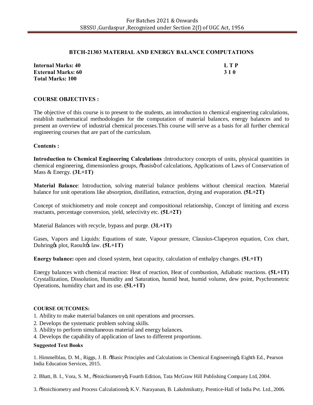#### **BTCH-21303 MATERIAL AND ENERGY BALANCE COMPUTATIONS**

| <b>Internal Marks: 40</b> | L T P |
|---------------------------|-------|
| <b>External Marks: 60</b> | 310   |
| <b>Total Marks: 100</b>   |       |

#### **COURSE OBJECTIVES :**

The objective of this course is to present to the students, an introduction to chemical engineering calculations, establish mathematical methodologies for the computation of material balances, energy balances and to present an overview of industrial chemical processes.This course will serve as a basis for all further chemical engineering courses that are part of the curriculum.

#### **Contents :**

**Introduction to Chemical Engineering Calculations :**Introductory concepts of units, physical quantities in chemical engineering, dimensionless groups,  $\delta$ basis $\ddot{o}$  of calculations, Applications of Laws of Conservation of Mass & Energy. **(3L+1T)**

**Material Balance**: Introduction, solving material balance problems without chemical reaction. Material balance for unit operations like absorption, distillation, extraction, drying and evaporation. **(5L+2T)**

Concept of stoichiometry and mole concept and compositional relationship, Concept of limiting and excess reactants, percentage conversion, yield, selectivity etc. **(5L+2T)**

Material Balances with recycle, bypass and purge. **(3L+1T)**

Gases, Vapors and Liquids: Equations of state, Vapour pressure, Clausius-Clapeyron equation, Cox chart, Duhring<sub>&</sub> plot, Raoult<sub>&</sub> law. (5L+1T)

**Energy balance:** open and closed system, heat capacity, calculation of enthalpy changes. **(5L+1T)**

Energy balances with chemical reaction: Heat of reaction, Heat of combustion, Adiabatic reactions. **(5L+1T)**  Crystallization, Dissolution, Humidity and Saturation, humid heat, humid volume, dew point, Psychrometric Operations, humidity chart and its use. **(5L+1T)**

#### **COURSE OUTCOMES:**

1. Ability to make material balances on unit operations and processes.

- 2. Develops the systematic problem solving skills.
- 3. Ability to perform simultaneous material and energy balances.
- 4. Develops the capability of application of laws to different proportions.

#### **Suggested Text Books**

1. Himmelblau, D. M., Riggs, J. B.  $\ddot{\text{B}}$  Basic Principles and Calculations in Chemical Engineeringö, Eighth Ed., Pearson India Education Services, 2015.

2. Bhatt, B. I., Vora, S. M., "Stoichiometry", Fourth Edition, Tata McGraw Hill Publishing Company Ltd, 2004.

3. ÖStoichiometry and Process Calculationsö, K.V. Narayanan, B. Lakshmikutty, Prentice-Hall of India Pvt. Ltd., 2006.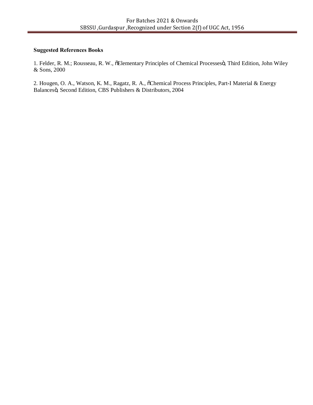#### **Suggested References Books**

1. Felder, R. M.; Rousseau, R. W., õElementary Principles of Chemical Processesö, Third Edition, John Wiley & Sons, 2000

2. Hougen, O. A., Watson, K. M., Ragatz, R. A., õChemical Process Principles, Part-I Material & Energy Balancesö, Second Edition, CBS Publishers & Distributors, 2004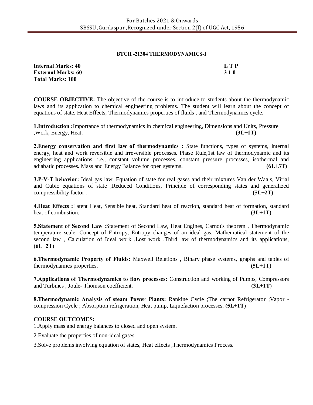#### **BTCH -21304 THERMODYNAMICS-I**

| <b>Internal Marks: 40</b> | LTP        |
|---------------------------|------------|
| <b>External Marks: 60</b> | <b>310</b> |
| <b>Total Marks: 100</b>   |            |

**COURSE OBJECTIVE:** The objective of the course is to introduce to students about the thermodynamic laws and its application to chemical engineering problems. The student will learn about the concept of equations of state, Heat Effects, Thermodynamics properties of fluids , and Thermodynamics cycle.

**1.Introduction :**Importance of thermodynamics in chemical engineering, Dimensions and Units, Pressure ,Work, Energy, Heat. **(3L+1T)**

**2.Energy conservation and first law of thermodynamics :** State functions, types of systems, internal energy, heat and work reversible and irreversible processes. Phase Rule,1st law of thermodynamic and its engineering applications, i.e., constant volume processes, constant pressure processes, isothermal and adiabatic processes. Mass and Energy Balance for open systems. **(6L+3T)**

**3.P-V-T behavior:** Ideal gas law, Equation of state for real gases and their mixtures Van der Waals, Virial and Cubic equations of state ,Reduced Conditions, Principle of corresponding states and generalized compressibility factor . **(5L+2T)**

**4.Heat Effects :**Latent Heat, Sensible heat, Standard heat of reaction, standard heat of formation, standard heat of combustion. **(3L+1T) (3L+1T)** 

**5.Statement of Second Law :**Statement of Second Law, Heat Engines, Carnot's theorem , Thermodynamic temperature scale, Concept of Entropy, Entropy changes of an ideal gas, Mathematical statement of the second law , Calculation of Ideal work ,Lost work ,Third law of thermodynamics and its applications, **(6L+2T)**

**6.Thermodynamic Property of Fluids:** Maxwell Relations , Binary phase systems, graphs and tables of thermodynamics properties**. (5L+1T)**

**7.Applications of Thermodynamics to flow processes:** Construction and working of Pumps, Compressors and Turbines , Joule- Thomson coefficient. **(3L+1T)**

**8.Thermodynamic Analysis of steam Power Plants:** Rankine Cycle ;The carnot Refrigerator ;Vapor compression Cycle ; Absorption refrigeration, Heat pump, Liquefaction processes**. (5L+1T)**

### **COURSE OUTCOMES:**

1.Apply mass and energy balances to closed and open system.

2.Evaluate the properties of non-ideal gases.

3.Solve problems involving equation of states, Heat effects ,Thermodynamics Process.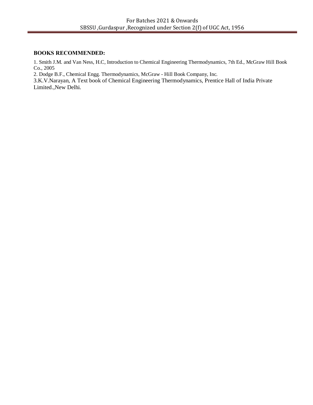### **BOOKS RECOMMENDED:**

1. Smith J.M. and Van Ness, H.C, Introduction to Chemical Engineering Thermodynamics, 7th Ed., McGraw Hill Book Co., 2005

2. Dodge B.F., Chemical Engg. Thermodynamics, McGraw - Hill Book Company, Inc.

3.K.V.Narayan, A Text book of Chemical Engineering Thermodynamics, Prentice Hall of India Private Limited.,New Delhi.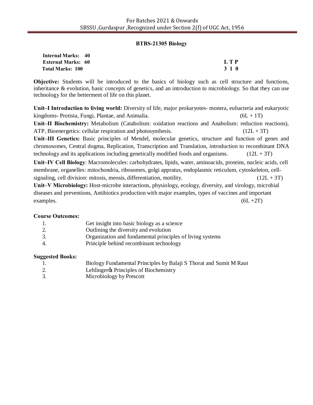### **BTBS-21305 Biology**

| <b>Internal Marks: 40</b> |       |
|---------------------------|-------|
| <b>External Marks: 60</b> | L T P |
| Total Marks: 100          | 3 1 0 |

**Objective:** Students will be introduced to the basics of biology such as cell structure and functions, inheritance & evolution, basic concepts of genetics, and an introduction to microbiology. So that they can use technology for the betterment of life on this planet.

**Unit–I Introduction to living world:** Diversity of life, major prokaryotes- monera, eubacteria and eukaryotic kingdoms- Protista, Fungi, Plantae, and Animalia. (6L + 1T) **Unit–II Biochemistry:** Metabolism (Catabolism: oxidation reactions and Anabolism: reduction reactions), ATP, Bioenergetics: cellular respiration and photosynthesis.  $(12L + 3T)$ **Unit–III Genetics:** Basic principles of Mendel, molecular genetics, structure and function of genes and

chromosomes, Central dogma, Replication, Transcription and Translation, introduction to recombinant DNA technology and its applications including genetically modified foods and organisms.  $(12L + 3T)$ 

**Unit–IV Cell Biology**: Macromolecules: carbohydrates, lipids, water, aminoacids, proteins, nucleic acids, cell membrane, organelles: mitochondria, ribosomes, golgi appratus, endoplasmic reticulum, cytoskeleton, cellsignaling, cell division: mitosis, meosis, differentiation, motility.  $(12L + 3T)$ 

**Unit–V Microbiology:** Host-microbe interactions, physiology, ecology, diversity, and virology, microbial diseases and preventions, Antibiotics production with major examples, types of vaccines and important examples.  $(6L + 2T)$ 

### **Course Outcomes:**

| 1. | Get insight into basic biology as a science               |
|----|-----------------------------------------------------------|
| 2. | Outlining the diversity and evolution                     |
| 3. | Organization and fundamental principles of living systems |
| 4. | Principle behind recombinant technology                   |

### **Suggested Books:**

|    | Biology Fundamental Principles by Balaji S Thorat and Sumit M Raut |
|----|--------------------------------------------------------------------|
| 2. | Lehlinger & Principles of Biochemistry                             |
|    | Microbiology by Prescott                                           |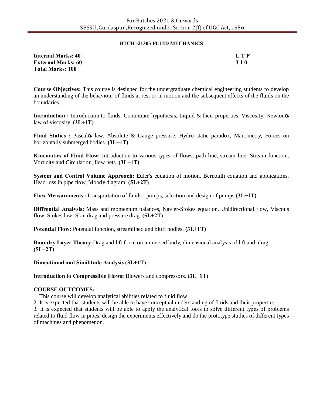#### **BTCH -21305 FLUID MECHANICS**

| Internal Marks: 40        | L T P      |
|---------------------------|------------|
| <b>External Marks: 60</b> | <b>310</b> |
| <b>Total Marks: 100</b>   |            |

**Course Objectives:** This course is designed for the undergraduate chemical engineering students to develop an understanding of the behaviour of fluids at rest or in motion and the subsequent effects of the fluids on the boundaries.

**Introduction :** Introduction to fluids, Continuum hypothesis, Liquid & their properties, Viscosity, Newton*g*s law of viscosity. **(3L+1T)**

**Fluid Statics : Pascalgs law, Absolute & Gauge pressure, Hydro static paradox, Manometry, Forces on** horizontally submerged bodies. **(3L+1T)**

**Kinematics of Fluid Flow:** Introduction to various types of flows, path line, stream line, Stream function, Vorticity and Circulation, flow nets. **(3L+1T)**

**System and Control Volume Approach:** Euler's equation of motion, Bernoulli equation and applications, Head loss in pipe flow, Moody diagram. **(5L+2T)**

**Flow Measurements :**Transportation of fluids - pumps, selection and design of pumps **(3L+1T)**

**Diffrential Analysis:** Mass and momentum balances, Navier-Stokes equation, Unidirectional flow, Viscous flow, Stokes law, Skin drag and pressure drag. **(5L+2T)**

**Potential Flow:** Potential function, streamlined and bluff bodies. **(3L+1T)**

**Boundry Layer Theory:**Drag and lift force on immersed body, dimensional analysis of lift and drag. **(5L+2T)**

**Dimentional and Similitude Analysis (3L+1T)**

**Introduction to Compressible Flows:** Blowers and compressors. **(3L+1T)** 

### **COURSE OUTCOMES:**

1. This course will develop analytical abilities related to fluid flow.

2. It is expected that students will be able to have conceptual understanding of fluids and their properties.

3. It is expected that students will be able to apply the analytical tools to solve different types of problems related to fluid flow in pipes, design the experiments effectively and do the prototype studies of different types of machines and phenomenon.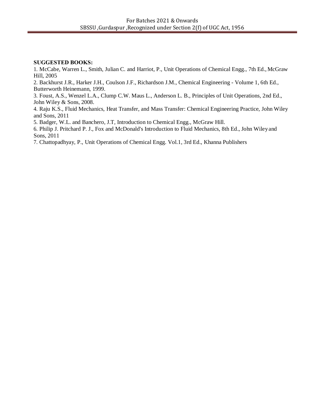### **SUGGESTED BOOKS:**

1. McCabe, Warren L., Smith, Julian C. and Harriot, P., Unit Operations of Chemical Engg., 7th Ed., McGraw Hill, 2005

2. Backhurst J.R., Harker J.H., Coulson J.F., Richardson J.M., Chemical Engineering - Volume 1, 6th Ed., Butterworth Heinemann, 1999.

3. Foust, A.S., Wenzel L.A., Clump C.W. Maus L., Anderson L. B., Principles of Unit Operations, 2nd Ed., John Wiley & Sons, 2008.

4. Raju K.S., Fluid Mechanics, Heat Transfer, and Mass Transfer: Chemical Engineering Practice, John Wiley and Sons, 2011

5. Badger, W.L. and Banchero, J.T, Introduction to Chemical Engg., McGraw Hill.

6. Philip J. Pritchard P. J., Fox and McDonald's Introduction to Fluid Mechanics, 8th Ed., John Wileyand Sons, 2011

7. Chattopadhyay, P., Unit Operations of Chemical Engg. Vol.1, 3rd Ed., Khanna Publishers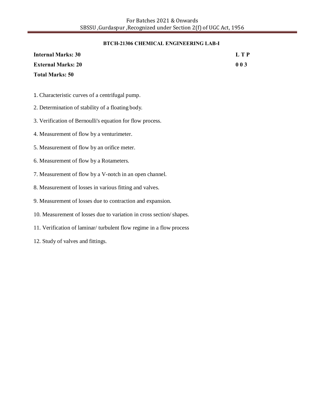#### **BTCH-21306 CHEMICAL ENGINEERING LAB-I**

| <b>Internal Marks: 30</b> | L T P |
|---------------------------|-------|
| <b>External Marks: 20</b> | 003   |
| <b>Total Marks: 50</b>    |       |

- 1. Characteristic curves of a centrifugal pump.
- 2. Determination of stability of a floating body.
- 3. Verification of Bernoulli's equation for flow process.
- 4. Measurement of flow by a venturimeter.
- 5. Measurement of flow by an orifice meter.
- 6. Measurement of flow by a Rotameters.
- 7. Measurement of flow by a V-notch in an open channel.
- 8. Measurement of losses in various fitting and valves.
- 9. Measurement of losses due to contraction and expansion.
- 10. Measurement of losses due to variation in cross section/shapes.
- 11. Verification of laminar/ turbulent flow regime in a flow process
- 12. Study of valves and fittings.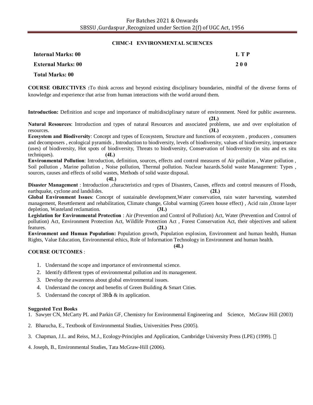#### **CHMC-I ENVIRONMENTAL SCIENCES**

| <b>Internal Marks: 00</b> | L T P      |
|---------------------------|------------|
| <b>External Marks: 00</b> | <b>200</b> |
| Total Marks: 00           |            |

**COURSE OBJECTIVES :**To think across and beyond existing disciplinary boundaries, mindful of the diverse forms of knowledge and experience that arise from human interactions with the world around them.

**Introduction:** Definition and scope and importance of multidisciplinary nature of environment. Need for public awareness.

**(2L)**

**Natural Resources**: Introduction and types of natural Resources and associated problems, use and over exploitation of resources. **(3L)**

**Ecosystem and Biodiversity**: Concept and types of Ecosystem, Structure and functions of ecosystem , producers , consumers and decomposers , ecological pyramids , Introduction to biodiversity, levels of biodiversity, values of biodiversity, importance (uses) of biodiversity, Hot spots of biodiversity, Threats to biodiversity, Conservation of biodiversity (in situ and ex situ techniques). **(4L)**

**Environmental Pollution**: Introduction, definition, sources, effects and control measures of Air pollution , Water pollution , Soil pollution , Marine pollution , Noise pollution, Thermal pollution. Nuclear hazards.Solid waste Management: Types , sources, causes and effects of solid wastes, Methods of solid waste disposal.

#### **(4L)**

**Disaster Management** : Introduction ,characteristics and types of Disasters, Causes, effects and control measures of Floods, earthquake, cyclone and landslides. **(2L)**

**Global Environment Issues**: Concept of sustainable development,Water conservation, rain water harvesting, watershed management, Resettlement and rehabilitation, Climate change, Global warming (Green house effect) , Acid rain ,Ozone layer depletion, Wasteland reclamation. **(3L)**

**Legislation for Environmental Protection** : Air (Prevention and Control of Pollution) Act, Water (Prevention and Control of pollution) Act, Environment Protection Act, Wildlife Protection Act , Forest Conservation Act, their objectives and salient features. **(2L)**

**Environment and Human Population:** Population growth, Population explosion, Environment and human health, Human Rights, Value Education, Environmental ethics, Role of Information Technology in Environment and human health.

#### **(4L)**

#### **COURSE OUTCOMES** :

- 1. Understand the scope and importance of environmental science.
- 2. Identify different types of environmental pollution and its management.
- 3. Develop the awareness about global environmental issues.
- 4. Understand the concept and benefits of Green Building & Smart Cities.
- 5. Understand the concept of  $3R\otimes \&$  its application.

#### **Suggested Text Books**

1. Sawyer CN, McCarty PL and Parkin GF, Chemistry for Environmental Engineering and Science, McGraw Hill (2003)

- 2. Bharucha, E., Textbook of Environmental Studies, Universities Press (2005).
- 3. Chapman, J.L. and Reiss, M.J., Ecology-Principles and Application, Cambridge University Press (LPE) (1999).

4. Joseph, B., Environmental Studies, Tata McGraw-Hill (2006).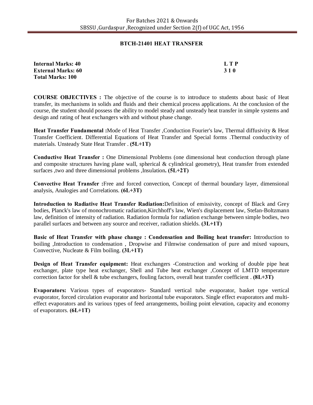#### **BTCH-21401 HEAT TRANSFER**

| <b>Internal Marks: 40</b> | LTP        |
|---------------------------|------------|
| <b>External Marks: 60</b> | <b>310</b> |
| <b>Total Marks: 100</b>   |            |

**COURSE OBJECTIVES :** The objective of the course is to introduce to students about basic of Heat transfer, its mechanisms in solids and fluids and their chemical process applications. At the conclusion of the course, the student should possess the ability to model steady and unsteady heat transfer in simple systems and design and rating of heat exchangers with and without phase change.

**Heat Transfer Fundamental :**Mode of Heat Transfer ,Conduction Fourier's law, Thermal diffusivity & Heat Transfer Coefficient. Differential Equations of Heat Transfer and Special forms .Thermal conductivity of materials. Unsteady State Heat Transfer . **(5L+1T)**

**Conductive Heat Transfer :** One Dimensional Problems (one dimensional heat conduction through plane and composite structures having plane wall, spherical  $\&$  cylindrical geometry), Heat transfer from extended surfaces ,two and three dimensional problems ,Insulation**. (5L+2T)**

**Convective Heat Transfer :**Free and forced convection, Concept of thermal boundary layer, dimensional analysis, Analogies and Correlations. **(6L+3T)**

**Introduction to Radiative Heat Transfer Radiation:**Definition of emissivity, concept of Black and Grey bodies, Planck's law of monochromatic radiation,Kirchhoff's law, Wien's displacement law, Stefan-Boltzmann law, definition of intensity of radiation. Radiation formula for radiation exchange between simple bodies, two parallel surfaces and between any source and receiver, radiation shields. **(3L+1T)**

**Basic of Heat Transfer with phase change : Condensation and Boiling heat transfer:** Introduction to boiling ,Introduction to condensation , Dropwise and Filmwise condensation of pure and mixed vapours, Convective, Nucleate & Film boiling. **(3L+1T)**

**Design of Heat Transfer equipment:** Heat exchangers -Construction and working of double pipe heat exchanger, plate type heat exchanger, Shell and Tube heat exchanger ,Concept of LMTD temperature correction factor for shell & tube exchangers, fouling factors, overall heat transfer coefficient . **(8L+3T)**

**Evaporators:** Various types of evaporators- Standard vertical tube evaporator, basket type vertical evaporator, forced circulation evaporator and horizontal tube evaporators. Single effect evaporators and multieffect evaporators and its various types of feed arrangements, boiling point elevation, capacity and economy of evaporators. **(6L+1T)**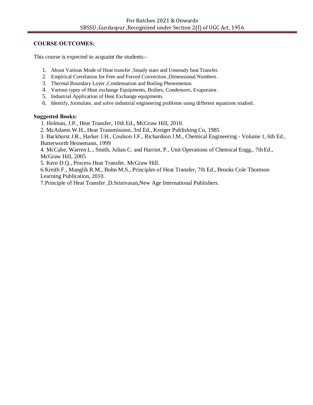# **COURSE OUTCOMES:**

This course is expected to acquaint the students:-

- 1. About Various Mode of Heat transfer ,Steady state and Unsteady heat Transfer.
- 2. Empirical Correlation for Free and Forced Convection ,Dimensional Numbers.
- 3. Thermal Boundary Layer ,Condensation and Boiling Phenomenon.
- 4. Various types of Heat exchange Equipments, Boilers, Condensors, Evaporator.
- 5. Industrial Application of Heat Exchange equipments.
- 6. Identify, formulate, and solve industrial engineering problems using different equations studied .

# **Suggested Books:**

- 1. Holman, J.P., Heat Transfer, 10th Ed., McGraw Hill, 2010.
- 2. McAdams W.H., Heat Transmission, 3rd Ed., Kreiger Publishing Co, 1985

3. Backhurst J.R., Harker J.H., Coulson J.F., Richardson J.M., Chemical Engineering - Volume 1, 6th Ed., Butterworth Heinemann, 1999

4. McCabe, Warren L., Smith, Julian C. and Harriot, P., Unit Operations of Chemical Engg., 7th Ed., McGraw Hill, 2005

5. Kern D.Q., Process Heat Transfer, McGraw Hill.

6.Kreith F., Manglik R.M., Bohn M.S., Principles of Heat Transfer, 7th Ed., Brooks Cole Thomson Learning Publication, 2010.

7.Principle of Heat Transfer ,D.Srinivasan,New Age International Publishers.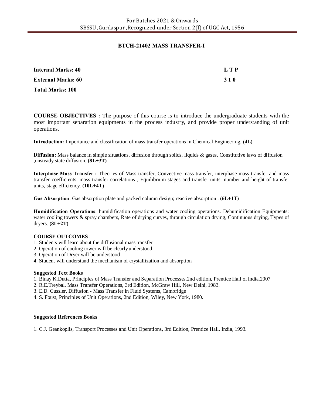#### **BTCH-21402 MASS TRANSFER-I**

| <b>Internal Marks: 40</b> | L T P |
|---------------------------|-------|
| <b>External Marks: 60</b> | 310   |
| <b>Total Marks: 100</b>   |       |

**COURSE OBJECTIVES :** The purpose of this course is to introduce the undergraduate students with the most important separation equipments in the process industry, and provide proper understanding of unit operations.

**Introduction:** Importance and classification of mass transfer operations in Chemical Engineering. **(4L)**

**Diffusion:** Mass balance in simple situations, diffusion through solids, liquids & gases, Constitutive laws of diffusion ,unsteady state diffusion. **(8L+3T)**

**Interphase Mass Transfer :** Theories of Mass transfer, Convective mass transfer, interphase mass transfer and mass transfer coefficients, mass transfer correlations , Equilibrium stages and transfer units: number and height of transfer units, stage efficiency. **(10L+4T)**

**Gas Absorption**: Gas absorption plate and packed column design; reactive absorption . **(6L+1T)**

**Humidification Operations**: humidification operations and water cooling operations. Dehumidification Equipments: water cooling towers & spray chambers, Rate of drying curves, through circulation drying, Continuous drying, Types of dryers. **(8L+2T)**

#### **COURSE OUTCOMES** :

- 1. Students will learn about the diffusional masstransfer
- 2. Operation of cooling tower will be clearlyunderstood
- 3. Operation of Dryer will be understood
- 4. Student will understand the mechanism of crystallization and absorption

#### **Suggested Text Books**

- 1. Binay K.Dutta, Principles of Mass Transfer and Separation Processes,2nd edition, Prentice Hall ofIndia,2007
- 2. R.E.Treybal, Mass Transfer Operations, 3rd Edition, McGraw Hill, New Delhi, 1983.
- 3. E.D. Cussler, Diffusion Mass Transfer in Fluid Systems, Cambridge
- 4. S. Foust, Principles of Unit Operations, 2nd Edition, Wiley, New York, 1980.

#### **Suggested References Books**

1. C.J. Geankoplis, Transport Processes and Unit Operations, 3rd Edition, Prentice Hall, India, 1993.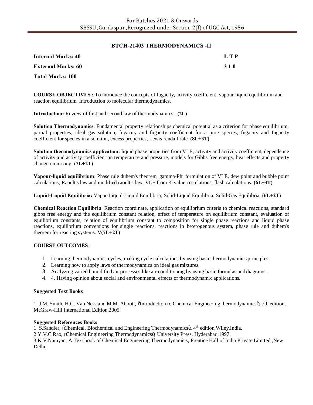#### **BTCH-21403 THERMODYNAMICS -II**

| <b>Internal Marks: 40</b> | L T P |
|---------------------------|-------|
| <b>External Marks: 60</b> | 3 1 0 |
| <b>Total Marks: 100</b>   |       |

**COURSE OBJECTIVES :** To introduce the concepts of fugacity, activity coefficient, vapour-liquid equilibrium and reaction equilibrium. Introduction to molecular thermodynamics.

**Introduction:** Review of first and second law of thermodynamics . **(2L)**

**Solution Thermodynamics**: Fundamental property relationships,chemical potential as a criterion for phase equilibrium, partial properties, ideal gas solution, fugacity and fugacity coefficient for a pure species, fugacity and fugacity coefficient for species in a solution, excess properties, Lewis rendall rule. **(8L+3T)**

**Solution thermodynamics application:** liquid phase properties from VLE, activity and activity coefficient, dependence of activity and activity coefficient on temperature and pressure, models for Gibbs free energy, heat effects and property change on mixing. **(7L+2T)**

**Vapour-liquid equilibrium**: Phase rule duhem's theorem, gamma-Phi formulation of VLE, dew point and bubble point calculations, Raoult's law and modified raoult's law, VLE from K-value correlations, flash calculations. **(6L+3T)**

**Liquid-Liquid Equilibria:** Vapor-Liquid-Liquid Equilibria; Solid-Liquid Equilibria, Solid-Gas Equilibria. (**6L+2T)**

**Chemical Reaction Equilibria**: Reaction coordinate, application of equilibrium criteria to chemical reactions, standard gibbs free energy and the equilibrium constant relation, effect of temperature on equilibrium constant, evaluation of equilibrium constants, relation of equilibrium constant to composition for single phase reactions and liquid phase reactions, equilibrium conversions for single reactions, reactions in heterogenous system, phase rule and duhem's theorem for reacting systems. V**(7L+2T)**

#### **COURSE OUTCOMES** :

- 1. Learning thermodynamics cycles, making cycle calculations by using basic thermodynamics principles.
- 2. Learning how to apply laws of thermodynamics on ideal gas mixtures.
- 3. Analyzing varied humidified air processes like air conditioning by using basic formulas and diagrams.
- 4. 4. Having opinion about social and environmental effects of thermodynamic applications.

#### **Suggested Text Books**

1. J.M. Smith, H.C. Van Ness and M.M. Abbott,  $\delta$ Introduction to Chemical Engineering thermodynamics $\ddot{o}$ , 7th edition, McGraw-Hill International Edition,2005.

#### **Suggested References Books**

1. S.Sandler,  $\tilde{\text{o}}$ Chemical, Biochemical and Engineering Thermodynamics  $\tilde{\text{o}}$ , 4<sup>th</sup> edition, Wiley,India.

2.Y.V.C.Rao,  $\tilde{C}$ chemical Engineering Thermodynamicsö, University Press, Hyderabad,1997.

3.K.V.Narayan, A Text book of Chemical Engineering Thermodynamics, Prentice Hall of India Private Limited.,New Delhi.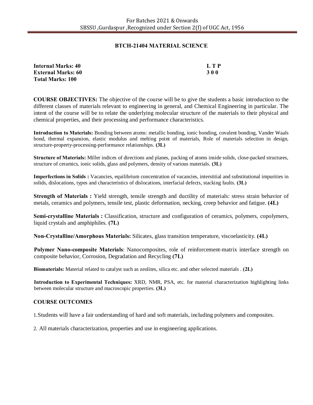#### **BTCH-21404 MATERIAL SCIENCE**

| <b>Internal Marks: 40</b> | L T P      |
|---------------------------|------------|
| <b>External Marks: 60</b> | <b>300</b> |
| <b>Total Marks: 100</b>   |            |

**COURSE OBJECTIVES:** The objective of the course will be to give the students a basic introduction to the different classes of materials relevant to engineering in general, and Chemical Engineering in particular. The intent of the course will be to relate the underlying molecular structure of the materials to their physical and chemical properties, and their processing and performance characteristics.

**Introduction to Materials:** Bonding between atoms: metallic bonding, ionic bonding, covalent bonding, Vander Waals bond, thermal expansion, elastic modulus and melting point of materials, Role of materials selection in design, structure-property-processing-performance relationships. **(3L)**

**Structure of Materials:** Miller indices of directions and planes, packing of atoms inside solids, close-packed structures, structure of ceramics, ionic solids, glass and polymers, density of various materials. **(3L)**

**Imperfections in Solids :** Vacancies, equilibrium concentration of vacancies, interstitial and substitutional impurities in solids, dislocations, types and characteristics of dislocations, interfacial defects, stacking faults. **(3L)**

**Strength of Materials :** Yield strength, tensile strength and ductility of materials: stress strain behavior of metals, ceramics and polymers, tensile test, plastic deformation, necking, creep behavior and fatigue. **(4L)**

**Semi-crystalline Materials :** Classification, structure and configuration of ceramics, polymers, copolymers, liquid crystals and amphiphiles. **(7L)**

**Non-Crystalline/Amorphous Materials:** Silicates, glass transition temperature, viscoelasticity. **(4L)**

**Polymer Nano-composite Materials**: Nanocomposites, role of reinforcement-matrix interface strength on composite behavior, Corrosion, Degradation and Recycling **(7L)**

**Biomaterials:** Material related to catalyst such as zeolites, silica etc. and other selected materials . **(2L)**

**Introduction to Experimental Techniques:** XRD, NMR, PSA, etc. for material characterization highlighting links between molecular structure and macroscopic properties. **(3L)**

### **COURSE OUTCOMES**

1.Students will have a fair understanding of hard and soft materials, including polymers and composites.

2. All materials characterization, properties and use in engineering applications.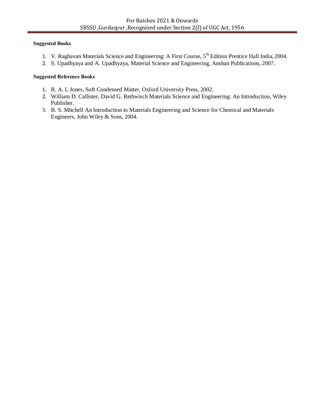#### **Suggested Books**

- 1. V. Raghavan Materials Science and Engineering: A First Course, 5<sup>th</sup> Edition Prentice Hall India, 2004.
- 2. S. Upadhyaya and A. Upadhyaya, Material Science and Engineering, Anshan Publications, 2007.

#### **Suggested Reference Books**

- 1. R. A. L Jones, Soft Condensed Matter, Oxford University Press, 2002.
- 2. William D. Callister, David G. Rethwisch Materials Science and Engineering: An Introduction, Wiley Publisher.
- 3. B. S. Mitchell An Introduction to Materials Engineering and Science for Chemical and Materials Engineers, John Wiley & Sons, 2004.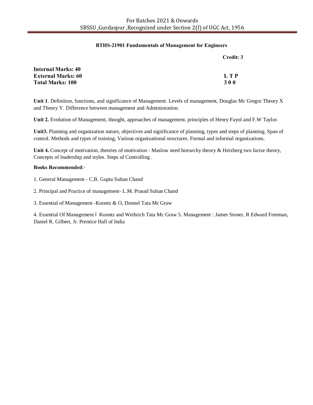#### **BTHS-21901 Fundamentals of Management for Engineers**

|                           | Credit: 3  |
|---------------------------|------------|
| <b>Internal Marks: 40</b> |            |
| <b>External Marks: 60</b> | L T P      |
| <b>Total Marks: 100</b>   | <b>300</b> |

**Unit 1**. Definition, functions, and significance of Management. Levels of management, Douglas Mc Gregor Theory X and Theory Y. Difference between management and Administration.

**Unit 2.** Evolution of Management, thought, approaches of management. principles of Henry Fayol and F.W Taylor.

**Unit3.** Planning and organization nature, objectives and significance of planning, types and steps of planning. Span of control. Methods and types of training, Various organizational structures. Formal and informal organizations.

**Unit 4.** Concept of motivation, theories of motivation - Maslow need hierarchy theory & Herzberg two factor theory, Concepts of leadership and styles. Steps of Controlling .

#### **Books Recommended**:-

- 1. General Management C.B. Gupta Sultan Chand
- 2. Principal and Practice of management- L.M. Prasad Sultan Chand

3. Essential of Management -Koontz & O, Donnel Tata Mc Graw

4. Essential Of Management 6 Koontz and Weihrich Tata Mc Graw 5. Management : James Stoner, R Edward Freeman, Daniel R. Gilbert, Jr. Prentice Hall of India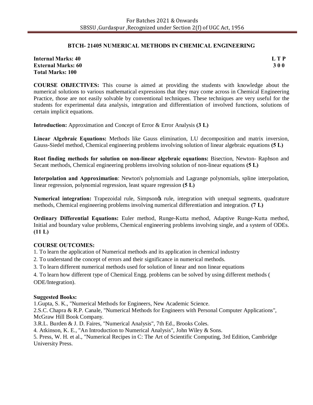#### **BTCH- 21405 NUMERICAL METHODS IN CHEMICAL ENGINEERING**

| <b>Internal Marks: 40</b> | L T P      |
|---------------------------|------------|
| <b>External Marks: 60</b> | <b>300</b> |
| <b>Total Marks: 100</b>   |            |

**COURSE OBJECTIVES:** This course is aimed at providing the students with knowledge about the numerical solutions to various mathematical expressions that they may come across in Chemical Engineering Practice, those are not easily solvable by conventional techniques. These techniques are very useful for the students for experimental data analysis, integration and differentiation of involved functions, solutions of certain implicit equations.

**Introduction:** Approximation and Concept of Error & Error Analysis **(3 L)**

**Linear Algebraic Equations:** Methods like Gauss elimination, LU decomposition and matrix inversion, Gauss-Siedel method, Chemical engineering problems involving solution of linear algebraic equations **(5 L)**

**Root finding methods for solution on non-linear algebraic equations:** Bisection, Newton- Raphson and Secant methods, Chemical engineering problems involving solution of non-linear equations **(5 L)**

**Interpolation and Approximation**: Newton's polynomials and Lagrange polynomials, spline interpolation, linear regression, polynomial regression, least square regression **(5 L)**

**Numerical integration:** Trapezoidal rule, Simpsongs rule, integration with unequal segments, quadrature methods, Chemical engineering problems involving numerical differentiation and integration. **(7 L)**

**Ordinary Differential Equations:** Euler method, Runge-Kutta method, Adaptive Runge-Kutta method, Initial and boundary value problems, Chemical engineering problems involving single, and a system of ODEs. **(11 L)**

### **COURSE OUTCOMES:**

1. To learn the application of Numerical methods and its application in chemical industry

2. To understand the concept of errors and their significance in numerical methods.

3. To learn different numerical methods used for solution of linear and non linear equations

4. To learn how different type of Chemical Engg. problems can be solved by using different methods ( ODE/Integration).

#### **Suggested Books:**

1.Gupta, S. K., "Numerical Methods for Engineers, New Academic Science.

2.S.C. Chapra & R.P. Canale, "Numerical Methods for Engineers with Personal Computer Applications", McGraw Hill Book Company.

3.R.L. Burden & J. D. Faires, "Numerical Analysis", 7th Ed., Brooks Coles.

4. Atkinson, K. E., "An Introduction to Numerical Analysis", John Wiley & Sons.

5. Press, W. H. et al., "Numerical Recipes in C: The Art of Scientific Computing, 3rd Edition, Cambridge University Press.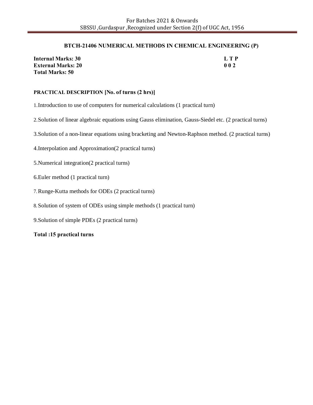#### **BTCH-21406 NUMERICAL METHODS IN CHEMICAL ENGINEERING (P)**

| Internal Marks: 30        | LTP |
|---------------------------|-----|
| <b>External Marks: 20</b> | 002 |
| <b>Total Marks: 50</b>    |     |

#### **PRACTICAL DESCRIPTION [No. of turns (2 hrs)]**

1.Introduction to use of computers for numerical calculations (1 practical turn)

2.Solution of linear algebraic equations using Gauss elimination, Gauss-Siedel etc. (2 practical turns)

3.Solution of a non-linear equations using bracketing and Newton-Raphson method. (2 practical turns)

4.Interpolation and Approximation(2 practical turns)

5.Numerical integration(2 practical turns)

6.Euler method (1 practical turn)

7.Runge-Kutta methods for ODEs (2 practical turns)

8.Solution of system of ODEs using simple methods (1 practical turn)

9.Solution of simple PDEs (2 practical turns)

**Total :15 practical turns**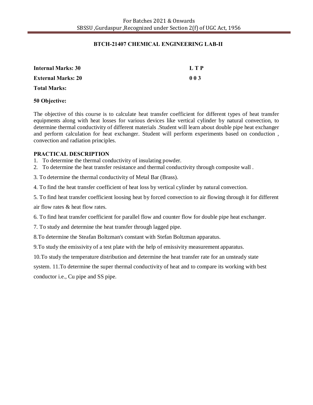#### **BTCH-21407 CHEMICAL ENGINEERING LAB-II**

| <b>Internal Marks: 30</b> | L T P |
|---------------------------|-------|
| <b>External Marks: 20</b> | 003   |
| <b>Total Marks:</b>       |       |

#### **50 Objective:**

The objective of this course is to calculate heat transfer coefficient for different types of heat transfer equipments along with heat losses for various devices like vertical cylinder by natural convection, to determine thermal conductivity of different materials .Student will learn about double pipe heat exchanger and perform calculation for heat exchanger. Student will perform experiments based on conduction , convection and radiation principles.

#### **PRACTICAL DESCRIPTION**

- 1. To determine the thermal conductivity of insulating powder.
- 2. To determine the heat transfer resistance and thermal conductivity through composite wall .

3. To determine the thermal conductivity of Metal Bar (Brass).

4. To find the heat transfer coefficient of heat loss by vertical cylinder by natural convection.

5. To find heat transfer coefficient loosing heat by forced convection to air flowing through it for different

air flow rates & heat flow rates.

6. To find heat transfer coefficient for parallel flow and counter flow for double pipe heat exchanger.

7. To study and determine the heat transfer through lagged pipe.

8.To determine the Steafan Boltzman's constant with Stefan Boltzman apparatus.

9.To study the emissivity of a test plate with the help of emissivity measurement apparatus.

10.To study the temperature distribution and determine the heat transfer rate for an unsteady state

system. 11.To determine the super thermal conductivity of heat and to compare its working with best conductor i.e., Cu pipe and SS pipe.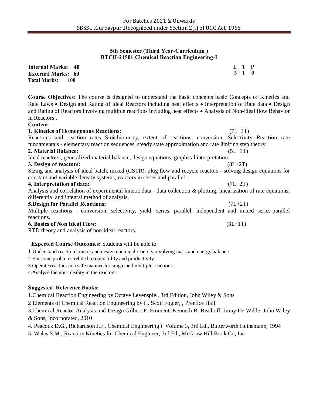### **5th Semester (Third Year-Curriculum ) BTCH-21501 Chemical Reaction Engineering-I**

| <b>Internal Marks: 40</b>   | L T P |  |
|-----------------------------|-------|--|
| <b>External Marks: 60</b>   | 3 1 0 |  |
| <b>Total Marks:</b><br>-100 |       |  |

**Course Objectives:** The course is designed to understand the basic concepts basic Concepts of Kinetics and Rate Laws • Design and Rating of Ideal Reactors including heat effects • Interpretation of Rate data • Design and Rating of Reactors involving multiple reactions including heat effects • Analysis of Non-ideal flow Behavior in Reactors .

#### **Content:**

**1. Kinetics of Homogenous Reactions:** (7L+3T) Reactions and reaction rates Stoichiometry, extent of reactions, conversion, Selectivity Reaction rate fundamentals - elementary reaction sequences, steady state approximation and rate limiting step theory. **2. Material Balance:** (5L+1T) Ideal reactors , generalized material balance, design equations, graphical interpretation . **3. Design of reactors:** (8L+2T)

Sizing and analysis of ideal batch, mixed (CSTR), plug flow and recycle reactors - solving design equations for constant and variable density systems, reactors in series and parallel .

#### **4. Interpretation of data:** (7L+2T)

Analysis and correlation of experimental kinetic data - data collection & plotting, linearization of rate equations, differential and integral method of analysis.

#### **5.Design for Parallel Reactions:** (7L+2T)

Multiple reactions - conversion, selectivity, yield, series, parallel, independent and mixed series-parallel reactions.

#### **6. Basics of Non Ideal Flow:** (3L+1T)

RTD theory and analysis of non-ideal reactors.

# **Expected Course Outcomes:** Students will be able to

1.Understand reaction kinetic and design chemical reactors involving mass and energy balance.

- 2.Fix some problems related to operability and productivity.
- 3.Operate reactors in a safe manner for single and multiple reactions .

4.Analyze the non-ideality in the reactors.

### **Suggested Reference Books:**

1.Chemical Reaction Engineering by Octave Levenspiel, 3rd Edition, John Wiley & Sons

2 Elements of Chemical Reaction Engineering by H. Scott Fogler, , Prentice Hall

3.Chemical Reactor Analysis and Design Gilbert F. Froment, Kenneth B. Bischoff, Juray De Wilde, John Wiley & Sons, Incorporated, 2010

- 4. Peacock D.G., Richardson J.F., Chemical Engineering 6 Volume 3, 3rd Ed., Butterworth Heinemann, 1994
- 5. Walas S.M., Reaction Kinetics for Chemical Engineer, 3rd Ed., McGraw Hill Book Co, Inc.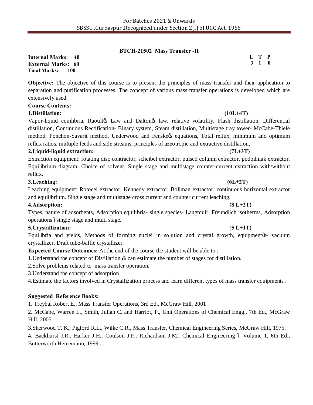#### **BTCH-21502 Mass Transfer -II**

**Internal Marks: 40 External Marks: 60 Total Marks: 100** 

**Objective:** The objective of this course is to present the principles of mass transfer and their application to separation and purification processes. The concept of various mass transfer operations is developed which are extensively used.

#### **Course Contents:**

#### **1.Distillation: (10L+4T)**

Vapor-liquid equilibria, Raoultøs Law and Daltonøs law, relative volatility, Flash distillation, Differential distillation, Continuous Rectification- Binary system, Steam distillation, Multistage tray tower- McCabe-Thiele method, Ponchon-Savarit method, Underwood and Fenske t equations, Total reflux, minimum and optimum reflux ratios, multiple feeds and side streams, principles of azeotropic and extractive distillation,

#### **2.Liquid-liquid extraction: (7L+3T)**

Extraction equipment: rotating disc contractor, scheibel extractor, pulsed column extractor, podbilniak extractor. Equilibrium diagram. Choice of solvent. Single stage and multistage counter-current extraction with/without reflux.

#### **3.Leaching: (6L+2T)**

Leaching equipment: Rotocel extractor, Kennedy extractor, Bollman extractor, continuous horizontal extractor and equilibrium. Single stage and multistage cross current and counter current leaching.

#### **4.Adsorption: (8 L+2T)**

Types, nature of adsorbents, Adsorption equilibria- single species- Langmuir, Freundlich isotherms, Adsorption operations ósingle stage and multi stage.

#### **5.Crystallization:** (**5 L+1T)**

Equilibria and yields, Methods of forming nuclei in solution and crystal growth, equipment¢s- vacuum crystallizer, Draft tube-baffle crystallizer.

**Expected Course Outcomes:** At the end of the course the student will be able to :

1.Understand the concept of Distillation & can estimate the number of stages for distillation.

2.Solve problems related to mass transfer operation.

3.Understand the concept of adsorption .

4.Estimate the factors involved in Crystallization process and learn different types of mass transfer equipments .

### **Suggested Reference Books:**

1. Treybal Robert E., Mass Transfer Operations, 3rd Ed., McGraw Hill, 2001

2. McCabe, Warren L., Smith, Julian C. and Harriot, P., Unit Operations of Chemical Engg., 7th Ed., McGraw Hill, 2005

3.Sherwood T. K., Pigford R.L., Wilke C.R., Mass Transfer, Chemical Engineering Series, McGraw Hill, 1975.

4. Backhurst J.R., Harker J.H., Coulson J.F., Richardson J.M., Chemical Engineering 6 Volume 1, 6th Ed., Butterworth Heinemann, 1999 .

**L T P 3 1 0**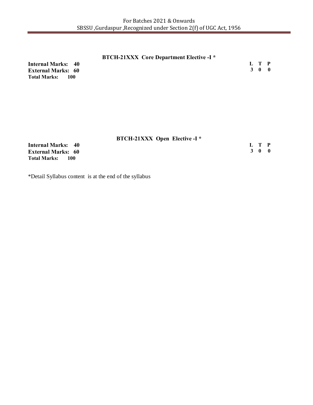| <b>BTCH-21XXX</b> Core Department Elective -I * |       |  |
|-------------------------------------------------|-------|--|
| <b>Internal Marks: 40</b>                       | L T P |  |
| <b>External Marks: 60</b>                       | 3 0 0 |  |
| Total Marks: 100                                |       |  |

|                              | <b>BTCH-21XXX Open Elective -I *</b> |  |
|------------------------------|--------------------------------------|--|
| <b>Internal Marks: 40</b>    | L T P                                |  |
| <b>External Marks: 60</b>    | 3 O O                                |  |
| <b>Total Marks:</b><br>- 100 |                                      |  |

\*Detail Syllabus content is at the end of the syllabus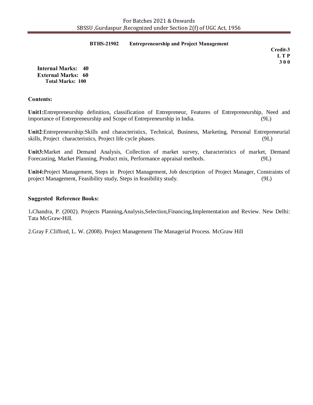#### **BTHS-21902 Entrepreneurship and Project Management**

*Credit-3*  **L T P 3 0 0**

**Internal Marks: 40 External Marks: 60 Total Marks: 100** 

#### **Contents:**

**Unit1:**Entrepreneurship definition, classification of Entrepreneur, Features of Entrepreneurship, Need and importance of Entrepreneurship and Scope of Entrepreneurship in India. (9L)

**Unit2**:Entrepreneurship:Skills and characteristics, Technical, Business, Marketing, Personal Entrepreneurial skills, Project characteristics, Project life cycle phases. (9L)

**Unit3:**Market and Demand Analysis, Collection of market survey, characteristics of market, Demand Forecasting, Market Planning, Product mix, Performance appraisal methods. (9L)

**Unit4:**Project Management, Steps in Project Management, Job description of Project Manager, Constraints of project Management, Feasibility study, Steps in feasibility study. (9L)

#### **Suggested Reference Books:**

1**.**Chandra, P. (2002). Projects Planning,Analysis,Selection,Financing,Implementation and Review. New Delhi: Tata McGraw-Hill.

2.Gray F.Clifford, L. W. (2008). Project Management The Managerial Process*.* McGraw Hill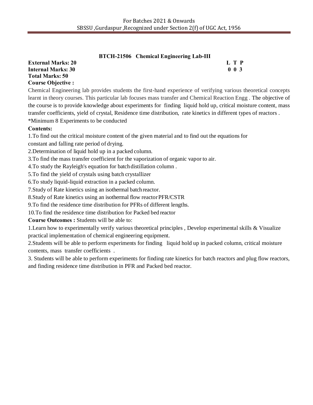|                           | BTCH-21506 Chemical Engineering Lab-III |                            |
|---------------------------|-----------------------------------------|----------------------------|
| <b>External Marks: 20</b> |                                         | L T P                      |
| Internal Marks: 30        |                                         | 0 <sub>0<sub>3</sub></sub> |
| Total Marks: 50           |                                         |                            |

# **Course Objective :**

Chemical Engineering lab provides students the first-hand experience of verifying various theoretical concepts learnt in theory courses. This particular lab focuses mass transfer and Chemical Reaction Engg . The objective of the course is to provide knowledge about experiments for finding liquid hold up, critical moisture content, mass transfer coefficients, yield of crystal, Residence time distribution, rate kinetics in different types of reactors . \*Minimum 8 Experiments to be conducted

# **Contents:**

1.To find out the critical moisture content of the given material and to find out the equations for

constant and falling rate period of drying.

2.Determination of liquid hold up in a packed column.

3.To find the mass transfer coefficient for the vaporization of organic vapor to air.

4.To study the Rayleigh's equation for batchdistillation column .

5.To find the yield of crystals using batch crystallizer

6.To study liquid-liquid extraction in a packed column.

7.Study of Rate kinetics using an isothermal batchreactor.

8.Study of Rate kinetics using an isothermal flow reactorPFR/CSTR

9.To find the residence time distribution for PFRs of different lengths.

10.To find the residence time distribution for Packed bed reactor

**Course Outcomes :** Students will be able to:

1.Learn how to experimentally verify various theoretical principles , Develop experimental skills & Visualize practical implementation of chemical engineering equipment.

2.Students will be able to perform experiments for finding liquid hold up in packed column, critical moisture contents, mass transfer coefficients .

3. Students will be able to perform experiments for finding rate kinetics for batch reactors and plug flow reactors, and finding residence time distribution in PFR and Packed bed reactor.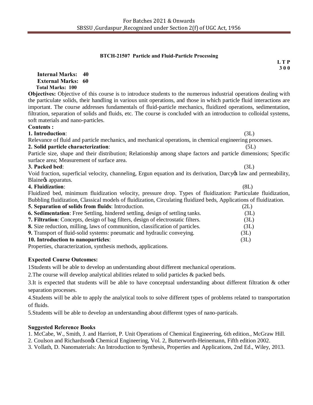#### **BTCH-21507 Particle and Fluid-Particle Processing**

 **L T P 3 0 0**

**Internal Marks: 40 External Marks: 60 Total Marks: 100** 

**Objectives:** Objective of this course is to introduce students to the numerous industrial operations dealing with the particulate solids, their handling in various unit operations, and those in which particle fluid interactions are important. The course addresses fundamentals of fluid-particle mechanics, fluidized operations, sedimentation, filtration, separation of solids and fluids, etc. The course is concluded with an introduction to colloidal systems, soft materials and nano-particles.

# **Contents :**

**1. Introduction**: (3L) Relevance of fluid and particle mechanics, and mechanical operations, in chemical engineering processes.

# **2. Solid particle characterization:**

Particle size, shape and their distribution; Relationship among shape factors and particle dimensions; Specific surface area; Measurement of surface area. **3. Packed bed**: (3L)

Void fraction, superficial velocity, channeling, Ergun equation and its derivation, Darcy os law and permeability, Blaine<sub>/S</sub> apparatus.

# **4. Fluidization**: (8L)

Fluidized bed, minimum fluidization velocity, pressure drop. Types of fluidization: Particulate fluidization, Bubbling fluidization, Classical models of fluidization, Circulating fluidized beds, Applications of fluidization. **5. Separation of solids from fluids:** Introduction

| 5. Separation of sonus from huius. Introduction.                                        | السلما |
|-----------------------------------------------------------------------------------------|--------|
| <b>6. Sedimentation:</b> Free Settling, hindered settling, design of settling tanks.    | (3L)   |
| <b>7. Filtration:</b> Concepts, design of bag filters, design of electrostatic filters. | (3L)   |
| <b>8.</b> Size reduction, milling, laws of communition, classification of particles.    | (3L)   |
| <b>9.</b> Transport of fluid-solid systems: pneumatic and hydraulic conveying.          | (3L)   |
| 10. Introduction to nanoparticles:                                                      | (3L)   |
| .                                                                                       |        |

Properties, characterization, synthesis methods, applications.

# **Expected Course Outcomes:**

1Students will be able to develop an understanding about different mechanical operations.

2.The course will develop analytical abilities related to solid particles & packed beds.

3.It is expected that students will be able to have conceptual understanding about different filtration & other separation processes.

4.Students will be able to apply the analytical tools to solve different types of problems related to transportation of fluids.

5.Students will be able to develop an understanding about different types of nano-particals.

# **Suggested Reference Books**

1. McCabe, W., Smith, J. and Harriott, P. Unit Operations of Chemical Engineering, 6th edition., McGraw Hill.

2. Coulson and Richardson's Chemical Engineering, Vol. 2, Butterworth-Heinemann, Fifth edition 2002.

3. Vollath, D. Nanomaterials: An Introduction to Synthesis, Properties and Applications, 2nd Ed., Wiley, 2013.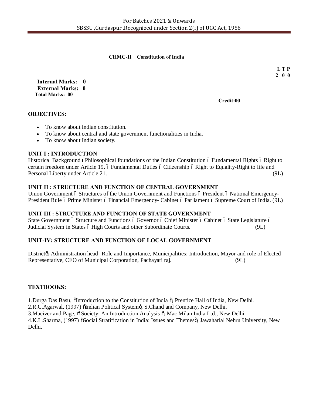#### **CHMC-II Constitution of India**

 **L T P 2 0 0**

**Internal Marks: 0 External Marks: 0 Total Marks: 00** 

**Credit:00**

# **OBJECTIVES:**

- · To know about Indian constitution.
- · To know about central and state government functionalities in India.
- · To know about Indian society.

### **UNIT I : INTRODUCTION**

Historical Background opphilosophical foundations of the Indian Constitution of Fundamental Rights of Right to certain freedom under Article 19. 6 Fundamental Duties 6 Citizenship 6 Right to Equality-Right to life and Personal Liberty under Article 21. (9L)

# **UNIT II : STRUCTURE AND FUNCTION OF CENTRAL GOVERNMENT**

Union Government ó Structures of the Union Government and Functions ó President ó National Emergency-President Rule 6 Prime Minister 6 Financial Emergency- Cabinet 6 Parliament 6 Supreme Court of India. (9L)

# **UNIT III : STRUCTURE AND FUNCTION OF STATE GOVERNMENT**

State Government ó Structure and Functions ó Governor ó Chief Minister ó Cabinet ó State Legislature ó Judicial System in States 6 High Courts and other Subordinate Courts. (9L)

# **UNIT-IV: STRUCTURE AND FUNCTION OF LOCAL GOVERNMENT**

Districtor Administration head- Role and Importance, Municipalities: Introduction, Mayor and role of Elected Representative, CEO of Municipal Corporation, Pachayati raj. (9L)

# **TEXTBOOKS:**

1. Durga Das Basu, õIntroduction to the Constitution of India  $\tilde{o}$ , Prentice Hall of India, New Delhi.

2.R.C.Agarwal, (1997) õIndian Political Systemö, S.Chand and Company, New Delhi.

3. Maciver and Page,  $\ddot{\text{o}}$  Society: An Introduction Analysis  $\ddot{\text{o}}$ , Mac Milan India Ltd., New Delhi.

4.K.L.Sharma, (1997) õSocial Stratification in India: Issues and Themesö, Jawaharlal Nehru University, New Delhi.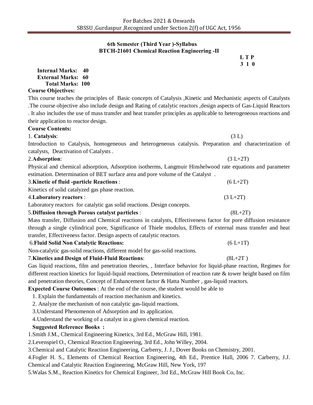#### **6th Semester (Third Year )-Syllabus BTCH-21601 Chemical Reaction Engineering -II**

 **L T P 3 1 0**

This course teaches the principles of Basic concepts of Catalysis ,Kinetic and Mechanistic aspects of Catalysts .The course objective also include design and Rating of catalytic reactors ,design aspects of Gas-Liquid Reactors . It also includes the use of mass transfer and heat transfer principles as applicable to heterogeneous reactions and their application to reactor design.

#### **Course Contents:**

**Course Objectives:** 

**Internal Marks: 40 External Marks: 60 Total Marks: 100** 

### 1. **Catalysis**: (3 L)

Introduction to Catalysis, homogeneous and heterogeneous catalysis. Preparation and characterization of catalysts, Deactivation of Catalysts .

#### 2.**Adsorption**: (3 L+2T)

Physical and chemical adsorption, Adsorption isotherms, Langmuir Hinshelwood rate equations and parameter estimation. Determination of BET surface area and pore volume of the Catalyst .

| <b>3. Kinetic of fluid -particle Reactions :</b> | $(6 L+2T)$ |
|--------------------------------------------------|------------|
| Kinetics of solid catalyzed gas phase reaction.  |            |
| 4. Laboratory reactors :                         | $(3 L+2T)$ |

Laboratory reactorsfor catalytic gas solid reactions. Design concepts.

# 5.**Diffusion through Porous catalyst particles** :(8L+2T)

Mass transfer, Diffusion and Chemical reactions in catalysts, Effectiveness factor for pore diffusion resistance through a single cylindrical pore, Significance of Thiele modulus, Effects of external mass transfer and heat transfer, Effectiveness factor. Design aspects of catalytic reactors.

#### 6.**Fluid Solid Non Catalytic Reactions:** (6 L+1T)

Non-catalytic gas-solid reactions, different model for gas-solid reactions.

# 7.**Kinetics and Design of Fluid-Fluid Reactions**: (8L+2T )

Gas liquid reactions, film and penetration theories, , Interface behavior for liquid-phase reaction, Regimes for different reaction kinetics for liquid-liquid reactions, Determination of reaction rate & tower height based on film and penetration theories, Concept of Enhancement factor & Hatta Number , gas-liquid reactors.

**Expected Course Outcomes** : At the end of the course, the student would be able to

1. Explain the fundamentals of reaction mechanism and kinetics.

2. Analyze the mechanism of non catalytic gas-liquid reactions.

3.Understand Phenomenon of Adsorption and its application.

4.Understand the working of a catalyst in a given chemical reaction.

# **Suggested Reference Books :**

1.Smith J.M., Chemical Engineering Kinetics, 3rd Ed., McGraw Hill, 1981.

2.Levenspiel O., Chemical Reaction Engineering, 3rd Ed., John Willey, 2004.

3.Chemical and Catalytic Reaction Engineering, Carberry, J. J., Dover Books on Chemistry, 2001.

4.Fogler H. S., Elements of Chemical Reaction Engineering, 4th Ed., Prentice Hall, 2006 7. Carberry, J.J.

Chemical and Catalytic Reaction Engineering, McGraw Hill, New York, 197

5.Walas S.M., Reaction Kinetics for Chemical Engineer, 3rd Ed., McGraw Hill Book Co, Inc.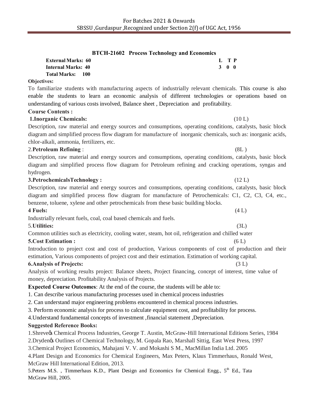|                           | <b>BTCH-21602</b> Process Technology and Economics |       |  |
|---------------------------|----------------------------------------------------|-------|--|
| <b>External Marks: 60</b> |                                                    | L TP  |  |
| Internal Marks: 40        |                                                    | 3 O O |  |
| Total Marks: 100          |                                                    |       |  |

# **Objectives:**

To familiarize students with manufacturing aspects of industrially relevant chemicals. This course is also enable the students to learn an economic analysis of different technologies or operations based on understanding of various costs involved, Balance sheet , Depreciation and profitability.

# **Course Contents :**

# **1.Inorganic Chemicals:** (10 L)

Description, raw material and energy sources and consumptions, operating conditions, catalysts, basic block diagram and simplified process flow diagram for manufacture of inorganic chemicals, such as: inorganic acids, chlor-alkali, ammonia, fertilizers, etc.

# 2.**Petroleum Refining** : (8L )

Description, raw material and energy sources and consumptions, operating conditions, catalysts, basic block diagram and simplified process flow diagram for Petroleum refining and cracking operations, syngas and hydrogen.

# **3.PetrochemicalsTechnology :** (12 L)

Description, raw material and energy sources and consumptions, operating conditions, catalysts, basic block diagram and simplified process flow diagram for manufacture of Petrochemicals: C1, C2, C3, C4, etc., benzene, toluene, xylene and other petrochemicals from these basic building blocks.

# **4 Fuels:** (4 L)

Industrially relevant fuels, coal, coal based chemicals and fuels.

# 5.**Utilities:** (3L)

Common utilities such as electricity, cooling water, steam, hot oil, refrigeration and chilled water

# **5.Cost Estimation :** (6 L)

Introduction to project cost and cost of production, Various components of cost of production and their estimation, Various components of project cost and their estimation. Estimation of working capital.

# **6.Analysis of Projects:** (3 L)

Analysis of working results project: Balance sheets, Project financing, concept of interest, time value of money, depreciation. Profitability Analysis of Projects.

# **Expected Course Outcomes**: At the end of the course, the students will be able to:

1. Can describe various manufacturing processes used in chemical process industries

2. Can understand major engineering problems encountered in chemical process industries.

3. Perform economic analysis for process to calculate equipment cost, and profitability for process.

4.Understand fundamental concepts of investment ,financial statement ,Depreciation.

# **Suggested Reference Books:**

1.Shreve's Chemical Process Industries, George T. Austin, McGraw-Hill International Editions Series, 1984

2.Dryden's Outlines of Chemical Technology, M. Gopala Rao, Marshall Sittig, East West Press, 1997

3.Chemical Project Economics, Mahajani V. V. and Mokashi S M., MacMillan India Ltd. 2005

4.Plant Design and Economics for Chemical Engineers, Max Peters, Klaus Timmerhaus, Ronald West, McGraw Hill International Edition, 2013.

5.Peters M.S., Timmerhaus K.D., Plant Design and Economics for Chemical Engg., 5<sup>th</sup> Ed., Tata McGraw Hill, 2005.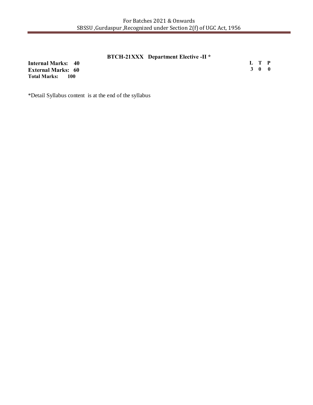# **BTCH-21XXX Department Elective -II \***

**Internal Marks: 40 External Marks: 60 Total Marks:** 

**L T P 3 0 0**

\*Detail Syllabus content is at the end of the syllabus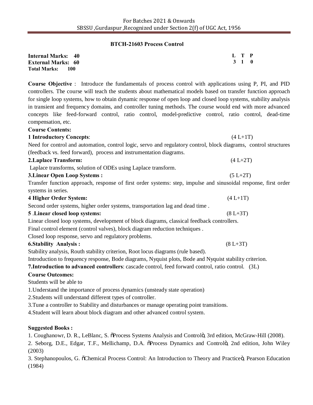# **BTCH-21603 Process Control**

| <b>Internal Marks: 40</b>   | L T P |  |
|-----------------------------|-------|--|
| <b>External Marks: 60</b>   | 3 1 0 |  |
| <b>Total Marks:</b><br>-100 |       |  |

**Course Objective** : Introduce the fundamentals of process control with applications using P, PI, and PID controllers. The course will teach the students about mathematical models based on transfer function approach for single loop systems, how to obtain dynamic response of open loop and closed loop systems, stability analysis in transient and frequency domains, and controller tuning methods. The course would end with more advanced concepts like feed-forward control, ratio control, model-predictive control, ratio control, dead-time compensation, etc.

#### **Course Contents:**

| 1 Introductory Concepts:                                                                                         | $(4 L+1T)$ |
|------------------------------------------------------------------------------------------------------------------|------------|
| Need for control and automation, control logic, servo and regulatory control, block diagrams, control structures |            |
| (feedback vs. feed forward), process and instrumentation diagrams.                                               |            |
| 2. Laplace Transform:                                                                                            | $(4 L+2T)$ |
| Laplace transforms, solution of ODEs using Laplace transform.                                                    |            |

# **3.Linear Open Loop Systems :** (5 L+2T)

Transfer function approach, response of first order systems: step, impulse and sinusoidal response, first order systems in series.

| 4 Higher Order System:                                                        | $(4 L+1T)$   |
|-------------------------------------------------------------------------------|--------------|
| Second order systems, higher order systems, transportation lag and dead time. |              |
| 5. Linear closed loop systems:                                                | $(8 L + 3T)$ |

Linear closed loop systems, development of block diagrams, classical feedback controllers.

Final control element (control valves), block diagram reduction techniques .

Closed loop response, servo and regulatory problems.

# **6.Stability Analysis :** (8 L+3T)

Stability analysis, Routh stability criterion, Root locus diagrams (rule based).

Introduction to frequency response, Bode diagrams, Nyquist plots, Bode and Nyquist stability criterion.

**7.Introduction to advanced controllers**: cascade control, feed forward control, ratio control. (3L)

# **Course Outcomes:**

Students will be able to

- 1.Understand the importance of process dynamics (unsteady state operation)
- 2.Students will understand different types of controller.
- 3.Tune a controller to Stability and disturbances or manage operating point transitions.

4.Student will learn about block diagram and other advanced control system.

# **Suggested Books :**

1. Coughanowr, D. R., LeBlanc, S.  $\delta$ Process Systems Analysis and Controlo, 3rd edition, McGraw-Hill (2008).

2. Seborg, D.E., Edgar, T.F., Mellichamp, D.A. oProcess Dynamics and Controlo, 2nd edition, John Wiley (2003)

3. Stephanopoulos, G.  $\tilde{o}$ Chemical Process Control: An Introduction to Theory and Practice $\tilde{o}$ , Pearson Education (1984)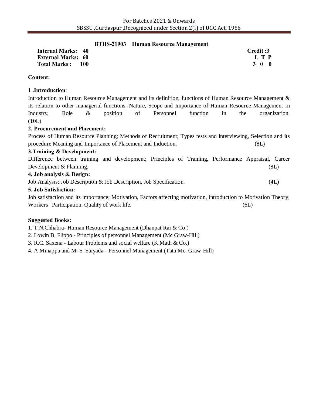#### **BTHS-21903 Human Resource Management**

| <b>Internal Marks: 40</b> | Credit:3 |
|---------------------------|----------|
| <b>External Marks: 60</b> | L T P    |
| Total Marks :<br>- 100    | 3 0 0    |

# **Content:**

### **1 .Introduction**:

Introduction to Human Resource Management and its definition, functions of Human Resource Management & its relation to other managerial functions. Nature, Scope and Importance of Human Resource Management in Industry, Role & position of Personnel function in the organization. (10L)

### **2. Procurement and Placement:**

Process of Human Resource Planning; Methods of Recruitment; Types tests and interviewing, Selection and its procedure Meaning and Importance of Placement and Induction. (8L)

### **3.Training & Development:**

Difference between training and development; Principles of Training, Performance Appraisal, Career Development & Planning. (8L)

### **4. Job analysis & Design:**

Job Analysis: Job Description & Job Description, Job Specification. (4L)

### **5. Job Satisfaction:**

Job satisfaction and its importance; Motivation, Factors affecting motivation, introduction to Motivation Theory; Workers ' Participation, Quality of work life. (6L)

# **Suggested Books:**

1. T.N.Chhabra- Human Resource Management (Dhanpat Rai & Co.)

2. Lowin B. Flippo - Principles of personnel Management (Mc Graw-Hill)

3. R.C. Saxena - Labour Problems and social welfare (K.Math & Co.)

4. A Minappa and M. S. Saiyada - Personnel Management (Tata Mc. Graw-Hill)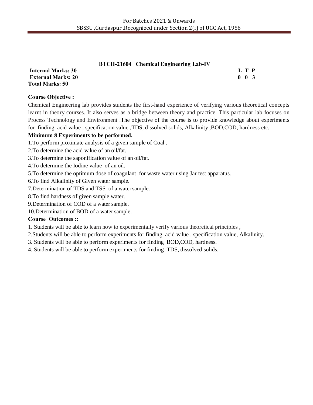# **BTCH-21604 Chemical Engineering Lab-IV**

**Total Marks: 50**

|                           | DTCH-21004 Chemical Engineering Lab-TV |                     |  |
|---------------------------|----------------------------------------|---------------------|--|
| <b>Internal Marks: 30</b> |                                        | L T P               |  |
| <b>External Marks: 20</b> |                                        | $0 \quad 0 \quad 3$ |  |
| Total Marks: 50           |                                        |                     |  |

# **Course Objective :**

Chemical Engineering lab provides students the first-hand experience of verifying various theoretical concepts learnt in theory courses. It also serves as a bridge between theory and practice. This particular lab focuses on Process Technology and Environment .The objective of the course is to provide knowledge about experiments for finding acid value , specification value ,TDS, dissolved solids, Alkalinity ,BOD,COD, hardness etc.

# **Minimum 8 Experiments to be performed.**

- 1.To perform proximate analysis of a given sample of Coal .
- 2.To determine the acid value of an oil/fat.
- 3.To determine the saponification value of an oil/fat.
- 4.To determine the Iodine value of an oil.
- 5.To determine the optimum dose of coagulant for waste water using Jar test apparatus.
- 6.To find Alkalinity of Given water sample.
- 7.Determination of TDS and TSS of a watersample.
- 8.To find hardness of given sample water.
- 9.Determination of COD of a water sample.
- 10.Determination of BOD of a water sample.

# **Course Outcomes :**:

- 1. Students will be able to learn how to experimentally verify various theoretical principles ,
- 2.Students will be able to perform experiments for finding acid value , specification value, Alkalinity.
- 3. Students will be able to perform experiments for finding BOD,COD, hardness.
- 4. Students will be able to perform experiments for finding TDS, dissolved solids.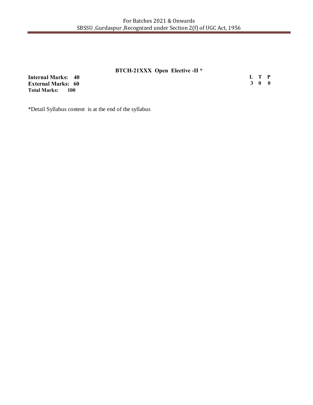# **BTCH-21XXX Open Elective -II \***

**Internal Marks: 40 External Marks: 60 Total Marks: 100** 

**L T P 3 0 0**

\*Detail Syllabus content is at the end of the syllabus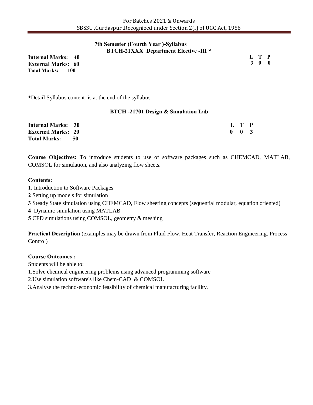### **7th Semester (Fourth Year )-Syllabus BTCH-21XXX Department Elective -III \***

**Internal Marks: 40 External Marks: 60 Total Marks: 100** 

**L T P 3 0 0**

\*Detail Syllabus content is at the end of the syllabus

#### **BTCH -21701 Design & Simulation Lab**

| <b>Internal Marks: 30</b> |  | L T P               |  |
|---------------------------|--|---------------------|--|
| <b>External Marks: 20</b> |  | $0 \quad 0 \quad 3$ |  |
| Total Marks: 50           |  |                     |  |

**Course Objectives:** To introduce students to use of software packages such as CHEMCAD, MATLAB, COMSOL for simulation, and also analyzing flow sheets.

#### **Contents:**

- **1.** Introduction to Software Packages
- **2** Setting up models for simulation
- **3** Steady State simulation using CHEMCAD, Flow sheeting concepts (sequential modular, equation oriented)
- **4** Dynamic simulation using MATLAB
- **5** CFD simulations using COMSOL, geometry & meshing

**Practical Description** (examples may be drawn from Fluid Flow, Heat Transfer, Reaction Engineering, Process Control)

#### **Course Outcomes :**

Students will be able to:

- 1.Solve chemical engineering problems using advanced programming software
- 2.Use simulation software's like Chem-CAD & COMSOL
- 3.Analyse the techno-economic feasibility of chemical manufacturing facility.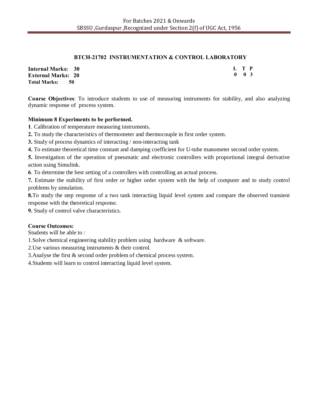# **BTCH-21702 INSTRUMENTATION & CONTROL LABORATORY**

| <b>Internal Marks: 30</b>   | L T P               |  |
|-----------------------------|---------------------|--|
| <b>External Marks: 20</b>   | $0 \quad 0 \quad 3$ |  |
| <b>Total Marks:</b><br>- 50 |                     |  |

**Course Objectives**: To introduce students to use of measuring instruments for stability, and also analyzing dynamic response of process system.

# **Minimum 8 Experiments to be performed.**

**1**. Calibration of temperature measuring instruments.

**2.** To study the characteristics of thermometer and thermocouple in first order system.

**3.** Study of process dynamics of interacting / non-interacting tank

**4.** To estimate theoretical time constant and damping coefficient for U-tube manometer second order system.

**5.** Investigation of the operation of pneumatic and electronic controllers with proportional integral derivative action using Simulink.

**6**. To determine the best setting of a controllers with controlling an actual process.

**7.** Estimate the stability of first order or higher order system with the help of computer and to study control problems by simulation.

**8.**To study the step response of a two tank interacting liquid level system and compare the observed transient response with the theoretical response.

**9.** Study of control valve characteristics.

# **Course Outcomes:**

Students will be able to :

1.Solve chemical engineering stability problem using hardware & software.

2.Use various measuring instruments & their control.

3.Analyse the first & second order problem of chemical process system.

4.Students will learn to control interacting liquid level system.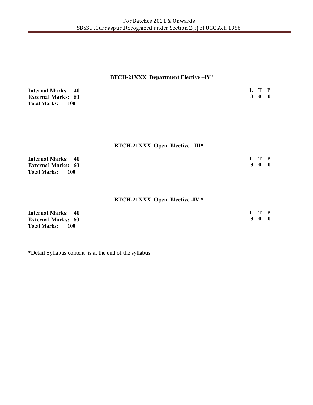# **BTCH-21XXX Department Elective –IV\***

| <b>Internal Marks: 40</b>    | L T P |  |
|------------------------------|-------|--|
| <b>External Marks: 60</b>    | 3 0 0 |  |
| <b>Total Marks:</b><br>- 100 |       |  |

# **BTCH-21XXX Open Elective –III\***

| <b>Internal Marks: 40</b>     | L T P |  |
|-------------------------------|-------|--|
| <b>External Marks: 60</b>     | 3 0 0 |  |
| <b>Total Marks:</b><br>$-100$ |       |  |

# **BTCH-21XXX Open Elective -IV \***

| <b>Internal Marks: 40</b> | L T P |  |
|---------------------------|-------|--|
| <b>External Marks: 60</b> | 3 0 0 |  |
| <b>Total Marks:</b> 100   |       |  |

\*Detail Syllabus content is at the end of the syllabus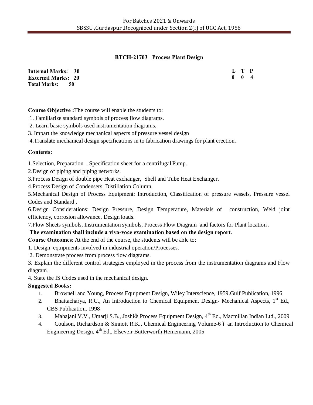# **BTCH-21703 Process Plant Design**

| <b>Internal Marks: 30</b>   | L T P               |  |
|-----------------------------|---------------------|--|
| <b>External Marks: 20</b>   | $0 \quad 0 \quad 4$ |  |
| <b>Total Marks:</b><br>- 50 |                     |  |

**Course Objective :**The course will enable the students to:

1. Familiarize standard symbols of process flow diagrams.

2. Learn basic symbols used instrumentation diagrams.

3. Impart the knowledge mechanical aspects of pressure vessel design

4.Translate mechanical design specifications in to fabrication drawings for plant erection.

### **Contents:**

1.Selection, Preparation , Specification sheet for a centrifugal Pump.

2.Design of piping and piping networks.

3.Process Design of double pipe Heat exchanger, Shell and Tube Heat Exchanger.

4.Process Design of Condensers, Distillation Column.

5.Mechanical Design of Process Equipment: Introduction, Classification of pressure vessels, Pressure vessel Codes and Standard .

6.Design Considerations: Design Pressure, Design Temperature, Materials of construction, Weld joint efficiency, corrosion allowance, Design loads.

7.Flow Sheets symbols, Instrumentation symbols, Process Flow Diagram and factors for Plant location .

# **The examination shall include a viva-voce examination based on the design report.**

**Course Outcomes**: At the end of the course, the students will be able to:

1. Design equipments involved in industrial operation/Processes.

2. Demonstrate process from process flow diagrams.

3. Explain the different control strategies employed in the process from the instrumentation diagrams and Flow diagram.

4. State the IS Codes used in the mechanical design.

# **Suggested Books:**

- 1. Brownell and Young, Process Equipment Design, Wiley Interscience, 1959.Gulf Publication, 1996
- 2. Bhattacharya, R.C., An Introduction to Chemical Equipment Design- Mechanical Aspects, 1<sup>st</sup> Ed., CBS Publication, 1998
- 3. Mahajani V.V., Umarji S.B., Joshigs Process Equipment Design, 4<sup>th</sup> Ed., Macmillan Indian Ltd., 2009
- 4. Coulson, Richardson & Sinnott R.K., Chemical Engineering Volume-6 ó an Introduction to Chemical Engineering Design, 4<sup>th</sup> Ed., Elseveir Butterworth Heinemann, 2005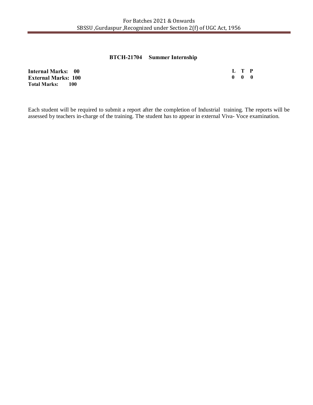# **BTCH-21704 Summer Internship**

**Internal Marks: 00 External Marks: 100 Total Marks: 100 L T P 0 0 0**

Each student will be required to submit a report after the completion of Industrial training. The reports will be assessed by teachers in-charge of the training. The student has to appear in external Viva- Voce examination.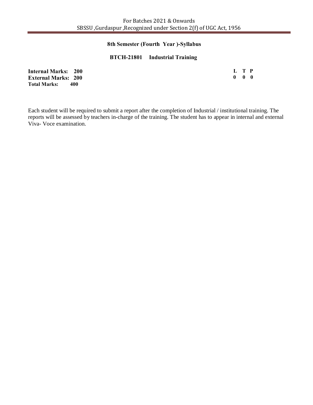# **8th Semester (Fourth Year )-Syllabus**

# **BTCH-21801 Industrial Training**

| <b>Internal Marks: 200</b>  |                   | L T P |  |
|-----------------------------|-------------------|-------|--|
| <b>External Marks: 200</b>  | $0\quad 0\quad 0$ |       |  |
| <b>Total Marks:</b><br>-400 |                   |       |  |

Each student will be required to submit a report after the completion of Industrial / institutional training. The reports will be assessed by teachers in-charge of the training. The student has to appear in internal and external Viva- Voce examination.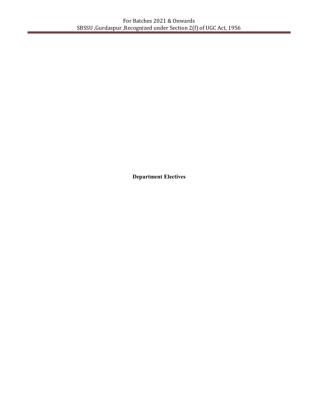**Department Electives**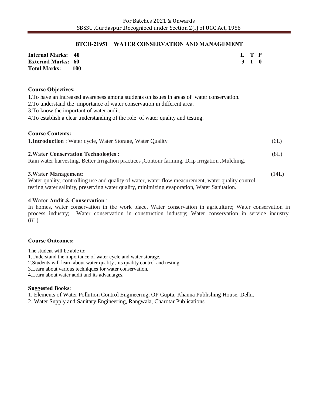#### **BTCH-21951 WATER CONSERVATION AND MANAGEMENT**

| <b>Internal Marks: 40</b> |       | L T P |  |
|---------------------------|-------|-------|--|
| <b>External Marks: 60</b> |       | 3 1 0 |  |
| <b>Total Marks:</b>       | - 100 |       |  |

#### **Course Objectives:**

1.To have an increased awareness among students on issues in areas of water conservation.

2.To understand the importance of water conservation in different area.

3.To know the important of water audit.

4.To establish a clear understanding of the role of water quality and testing.

| <b>Course Contents:</b><br><b>1. Introduction</b> : Water cycle, Water Storage, Water Quality                                                                                                                                     | (6L)  |
|-----------------------------------------------------------------------------------------------------------------------------------------------------------------------------------------------------------------------------------|-------|
| <b>2. Water Conservation Technologies:</b><br>Rain water harvesting, Better Irrigation practices , Contour farming, Drip irrigation , Mulching.                                                                                   | (8L)  |
| <b>3. Water Management:</b><br>Water quality, controlling use and quality of water, water flow measurement, water quality control,<br>testing water salinity, preserving water quality, minimizing evaporation, Water Sanitation. | (14L) |

# **4**.**Water Audit & Conservation** :

In homes, water conservation in the work place, Water conservation in agriculture; Water conservation in process industry; Water conservation in construction industry; Water conservation in service industry. (8L)

#### **Course Outcomes:**

The student will be able to:

1.Understand the importance of water cycle and water storage.

2.Students will learn about water quality , its quality control and testing.

3.Learn about various techniques for water conservation.

4.Learn about water audit and its advantages.

#### **Suggested Books**:

1. Elements of Water Pollution Control Engineering, OP Gupta, Khanna Publishing House, Delhi.

2. Water Supply and Sanitary Engineering, Rangwala, Charotar Publications.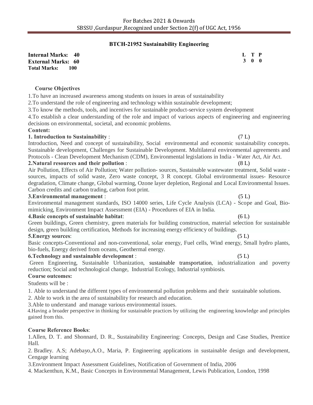# **BTCH-21952 Sustainability Engineering**

**Internal Marks: 40 External Marks: 60 Total Marks: 100** 

#### **Course Objectives**

1.To have an increased awareness among students on issues in areas of sustainability

2.To understand the role of engineering and technology within sustainable development;

3.To know the methods, tools, and incentives for sustainable product-service system development

4.To establish a clear understanding of the role and impact of various aspects of engineering and engineering decisions on environmental, societal, and economic problems.

#### **Content:**

#### **1. Introduction to Sustainability** :(7 L)

Introduction, Need and concept of sustainability, Social environmental and economic sustainability concepts. Sustainable development, Challenges for Sustainable Development. Multilateral environmental agreements and Protocols - Clean Development Mechanism (CDM), Environmental legislations in India - Water Act, Air Act. **2.Natural resources and their pollution** : (8 L)

Air Pollution, Effects of Air Pollution; Water pollution- sources, Sustainable wastewater treatment, Solid waste sources, impacts of solid waste, Zero waste concept, 3 R concept. Global environmental issues- Resource degradation, Climate change, Global warming, Ozone layer depletion, Regional and Local Environmental Issues. Carbon credits and carbon trading, carbon foot print.

#### **3.Environmental management** :(5 L)

Environmental management standards, ISO 14000 series, Life Cycle Analysis (LCA) - Scope and Goal, Biomimicking, Environment Impact Assessment (EIA) - Procedures of EIA in India.

#### **4.Basic concepts of sustainable habitat**:(6 L)

Green buildings, Green chemistry, green materials for building construction, material selection for sustainable design, green building certification, Methods for increasing energy efficiency of buildings. **5.Energy sources**: (5 L)

Basic concepts-Conventional and non-conventional, solar energy, Fuel cells, Wind energy, Small hydro plants, bio-fuels, Energy derived from oceans, Geothermal energy.

#### **6.Technology and sustainable development** :(5 L)

Green Engineering, Sustainable Urbanization, sustainable transportation, industrialization and poverty reduction; Social and technological change, Industrial Ecology, Industrial symbiosis.

#### **Course outcomes:**

Students will be :

1. Able to understand the different types of environmental pollution problems and their sustainable solutions.

2. Able to work in the area of sustainability for research and education.

3.Able to understand and manage various environmental issues.

 4.Having a broader perspective in thinking for sustainable practices by utilizing the engineering knowledge and principles gained from this.

#### **Course Reference Books**:

1.Allen, D. T. and Shonnard, D. R., Sustainability Engineering: Concepts, Design and Case Studies, Prentice Hall.

2. Bradley. A.S; Adebayo,A.O., Maria, P. Engineering applications in sustainable design and development, Cengage learning

3.Environment Impact Assessment Guidelines, Notification of Government of India, 2006

4. Mackenthun, K.M., Basic Concepts in Environmental Management, Lewis Publication, London, 1998

**L T P 3 0 0**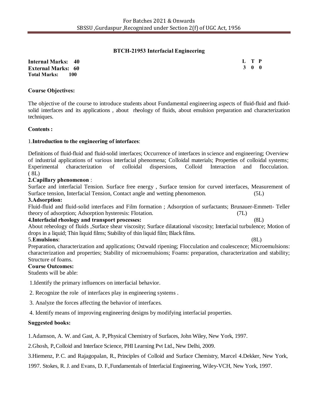# **BTCH-21953 Interfacial Engineering**

**Internal Marks: 40 External Marks: 60 Total Marks: 100** 

**L T P 3 0 0**

### **Course Objectives:**

The objective of the course to introduce students about Fundamental engineering aspects of fluid-fluid and fluidsolid interfaces and its applications , about rheology of fluids, about emulsion preparation and characterization techniques.

### **Contents :**

### 1.**Introduction to the engineering of interfaces**:

Definitions of fluid-fluid and fluid-solid interfaces; Occurrence of interfaces in science and engineering; Overview of industrial applications of various interfacial phenomena; Colloidal materials; Properties of colloidal systems; Experimental characterization of colloidal dispersions, Colloid Interaction and flocculation.  $(8L)$ 

### **2.Capillary phenomenon** :

Surface and interfacial Tension. Surface free energy , Surface tension for curved interfaces, Measurement of Surface tension, Interfacial Tension, Contact angle and wetting phenomenon. (5L)

#### **3.Adsorption:**

Fluid-fluid and fluid-solid interfaces and Film formation ; Adsorption of surfactants; Brunauer-Emmett- Teller theory of adsorption; Adsorption hysteresis: Flotation. (7L)

#### **4.Interfacial rheology and transport processes:** (8L)

About reheology of fluids ,Surface shear viscosity; Surface dilatational viscosity; Interfacial turbulence; Motion of drops in a liquid; Thin liquid films; Stability of thin liquid film; Black films.

# 5.**Emulsions**: (8L)

Preparation, characterization and applications; Ostwald ripening; Flocculation and coalescence; Microemulsions: characterization and properties; Stability of microemulsions; Foams: preparation, characterization and stability; Structure of foams.

#### **Course Outcomes:**

Students will be able:

1.Identify the primary influences on interfacial behavior.

2. Recognize the role of interfaces play in engineering systems .

3. Analyze the forces affecting the behavior of interfaces.

4. Identify means of improving engineering designs by modifying interfacial properties.

# **Suggested books:**

1.Adamson, A. W. and Gast, A. P., Physical Chemistry of Surfaces, John Wiley, New York, 1997.

2.Ghosh, P., Colloid and Interface Science, PHI Learning Pvt Ltd., New Delhi, 2009.

3.Hiemenz, P. C. and Rajagopalan, R., Principles of Colloid and Surface Chemistry, Marcel 4.Dekker, New York,

1997. Stokes, R. J. and Evans, D. F., Fundamentals of Interfacial Engineering, Wiley-VCH, New York, 1997.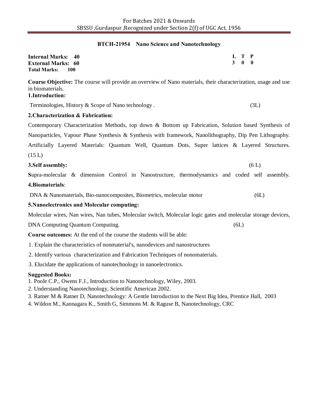#### **BTCH-21954 Nano Science and Nanotechnology**

| <b>Internal Marks: 40</b>         | L T P |  |
|-----------------------------------|-------|--|
| <b>External Marks: 60</b>         | 3 0 0 |  |
| <b>Total Marks:</b><br><b>100</b> |       |  |

**Course Objective:** The course will provide an overview of Nano materials, their characterization, usage and use in biomaterials.

# **1.Introduction:**

Terminologies, History & Scope of Nano technology . (3L)

# **2.Characterization & Fabrication:**

Contemporary Characterization Methods, top down & Bottom up Fabrication, Solution based Synthesis of Nanoparticles, Vapour Phase Synthesis & Synthesis with framework, Nanolithography, Dip Pen Lithography. Artificially Layered Materials: Quantum Well, Quantum Dots, Super lattices & Layered Structures.  $(15 L)$ 

# **3.Self assembly:** (6 L)

**S**upra-molecular & dimension Control in Nanostructure, thermodynamics and coded self assembly. **4.Biomaterials**:

DNA & Nanomaterials, Bio-nanocomposites, Biometrics, molecular motor (6L)

# **5.Nanoelectronics and Molecular computing:**

Molecular wires, Nan wires, Nan tubes, Molecular switch, Molecular logic gates and molecular storage devices,

DNA Computing Quantum Computing. (6L)

**Course outcomes:** At the end of the course the students will be able:

- 1. Explain the characteristics of nonmaterial's, nanodevices and nanostructures
- 2. Identify various characterization and Fabrication Techniques of nonomaterials.
- 3. Elucidate the applications of nanotechnology in nanoelectronics.

# **Suggested Books:**

- 1. Poole C.P., Owens F.J., Introduction to Nanotechnology, Wiley, 2003.
- 2. Understanding Nanotechnology, Scientific American 2002.
- 3. Ratner M & Ratner D, Nanotechnology: A Gentle Introduction to the Next Big Idea, Prentice Hall, 2003
- 4. Wildon M., Kannagara K., Smith G, Simmons M. & Raguse B, Nanotechnology, CRC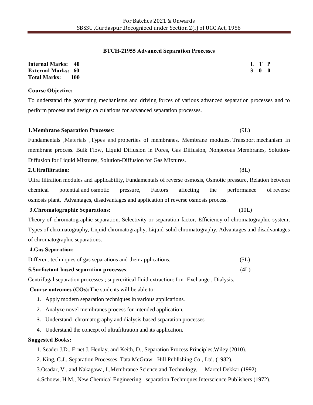#### **BTCH-21955 Advanced Separation Processes**

| <b>Internal Marks: 40</b>  | L T P |  |
|----------------------------|-------|--|
| <b>External Marks: 60</b>  | 3 0 0 |  |
| <b>Total Marks:</b><br>100 |       |  |

#### **Course Objective:**

To understand the governing mechanisms and driving forces of various advanced separation processes and to perform process and design calculations for advanced separation processes.

# **1.Membrane Separation Processes**: (9L)

Fundamentals ,Materials ,Types and properties of membranes, Membrane modules, Transport mechanism in membrane process. Bulk Flow, Liquid Diffusion in Pores, Gas Diffusion, Nonporous Membranes, Solution-Diffusion for Liquid Mixtures, Solution-Diffusion for Gas Mixtures.

#### **2.Ultrafiltration:** (8L)

Ultra filtration modules and applicability, Fundamentals of reverse osmosis, Osmotic pressure, Relation between chemical potential and osmotic pressure, Factors affecting the performance of reverse osmosis plant, Advantages, disadvantages and application of reverse osmosis process.

#### **3.Chromatographic Separations:** (10L)

Theory of chromatographic separation, Selectivity or separation factor, Efficiency of chromatographic system, Types of chromatography, Liquid chromatography, Liquid-solid chromatography, Advantages and disadvantages of chromatographic separations.

#### **4.Gas Separation:**

| Different techniques of gas separations and their applications. | (5L) |
|-----------------------------------------------------------------|------|
| <b>5. Surfactant based separation processes:</b>                | (4L) |

Centrifugal separation processes ; supercritical fluid extraction: Ion- Exchange , Dialysis.

#### **Course outcomes (COs):**The students will be able to:

- 1. Apply modern separation techniques in various applications.
- 2. Analyze novel membranes process for intended application.
- 3. Understand chromatography and dialysis based separation processes.
- 4. Understand the concept of ultrafiltration and its application.

#### **Suggested Books:**

- 1. Seader J.D., Ernet J. Henlay, and Keith, D., Separation Process Principles,Wiley (2010).
- 2. King, C.J., Separation Processes, Tata McGraw Hill Publishing Co., Ltd. (1982).
- 3.Osadar, V., and Nakagawa, I.,Membrance Science and Technology, Marcel Dekkar (1992).
- 4.Schoew, H.M., New Chemical Engineering separation Techniques,Interscience Publishers (1972).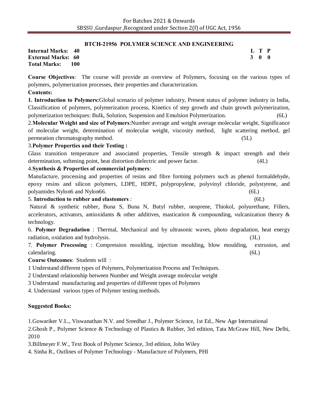# **BTCH-21956 POLYMER SCIENCE AND ENGINEERING**

**Internal Marks: 40 External Marks: 60 Total Marks: 100**  **L T P 3 0 0**

**Course Objectives**: The course will provide an overview of Polymers, focusing on the various types of polymers, polymerization processes, their properties and characterization.

### **Contents:**

**1. Introduction to Polymers:**Global scenario of polymer industry, Present status of polymer industry in India, Classification of polymers, polymerization process, Kinetics of step growth and chain growth polymerization, polymerization techniques: Bulk, Solution, Suspension and Emulsion Polymerization. (6L)

2.**Molecular Weight and size of Polymers**:Number average and weight average molecular weight, Significance of molecular weight, determination of molecular weight, viscosity method, light scattering method, gel permeation chromatography method. (5L)

### 3.**Polymer Properties and their Testing :**

Glass transition temperature and associated properties, Tensile strength & impact strength and their determination, softening point, heat distortion dielectric and power factor. (4L)

# 4.**Synthesis & Properties of commercial polymers**:

Manufacture, processing and properties of resins and fibre forming polymers such as phenol formaldehyde, epoxy resins and silicon polymers, LDPE, HDPE, polypropylene, polyvinyl chloride, polystyrene, and polyamides Nylon6 and Nylon66. (6L)

#### 5. **Introduction to rubber and elastomers** : (6L)

Natural & synthetic rubber, Buna S, Buna N, Butyl rubber, neoprene, Thiokol, polyurethane, Fillers, accelerators, activators, antioxidants  $\&$  other additives, mastication  $\&$  compounding, vulcanization theory  $\&$ technology.

6. **Polymer Degradation** : Thermal, Mechanical and by ultrasonic waves, photo degradation, heat energy radiation, oxidation and hydrolysis. (3L)

7. **Polymer Processing** : Compression moulding, injection moulding, blow moulding, extrusion, and calendaring. (6L)

**Course Outcomes**: Students will :

1 Understand different types of Polymers, Polymerization Process and Techniques.

2 Understand relationship between Number and Weight average molecular weight

3 Understand manufacturing and properties of different types of Polymers

4. Understand various types of Polymer testing methods.

# **Suggested Books:**

1.Gowariker V.L., Viswanathan N.V. and Sreedhar J., Polymer Science, 1st Ed., New Age International

2.Ghosh P., Polymer Science & Technology of Plastics & Rubber, 3rd edition, Tata McGraw Hill, New Delhi, 2010

3.Billmeyer F.W., Text Book of Polymer Science, 3rd edition, John Wiley

4. Sinha R., Outlines of Polymer Technology - Manufacture of Polymers, PHI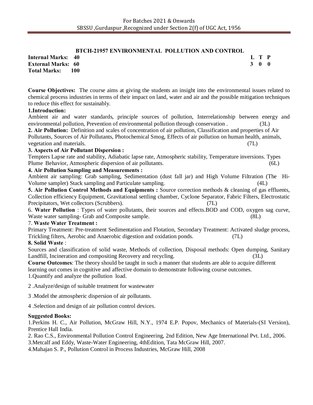# **BTCH-21957 ENVIRONMENTAL POLLUTION AND CONTROL**

**L T P 3 0 0**

**Internal Marks: 40 External Marks: 60 Total Marks: 100** 

**Course Objectives:** The course aims at giving the students an insight into the environmental issues related to chemical process industries in terms of their impact on land, water and air and the possible mitigation techniques to reduce this effect for sustainably.

### **1.Introduction:**

Ambient air and water standards, principle sources of pollution, Interrelationship between energy and environmental pollution, Prevention of environmental pollution through conservation . (3L)

**2. Air Pollution:** Definition and scales of concentration of air pollution, Classification and properties of Air Pollutants, Sources of Air Pollutants, Photochemical Smog, Effects of air pollution on human health, animals, vegetation and materials. (7L)

# **3. Aspects of Air Pollutant Dispersion :**

Tempters Lapse rate and stability, Adiabatic lapse rate, Atmospheric stability, Temperature inversions. Types Plume Behavior, Atmospheric dispersion of air pollutants. (6L)

### **4. Air Pollution Sampling and Measurements :**

Ambient air sampling: Grab sampling, Sedimentation (dust fall jar) and High Volume Filtration (The Hi-Volume sampler) Stack sampling and Particulate sampling. (4L)

**5. Air Pollution Control Methods and Equipments :** Source correction methods & cleaning of gas effluents, Collection efficiency Equipment, Gravitational settling chamber, Cyclone Separator, Fabric Filters, Electrostatic Precipitators, Wet collectors (Scrubbers). (7L)

6. **Water Pollution** : Types of water pollutants, their sources and effects.BOD and COD, oxygen sag curve, Waste water sampling- Grab and Composite sample. (8L)

# 7. **Waste Water Treatment :**

Primary Treatment: Pre-treatment Sedimentation and Flotation, Secondary Treatment: Activated sludge process, Trickling filters, Aerobic and Anaerobic digestion and oxidation ponds. (7L)

# **8. Solid Waste** :

Sources and classification of solid waste, Methods of collection, Disposal methods: Open dumping, Sanitary Landfill, Incineration and compositing Recovery and recycling. (3L)

**Course Outcomes**: The theory should be taught in such a manner that students are able to acquire different learning out comes in cognitive and affective domain to demonstrate following course outcomes. 1.Quantify and analyze the pollution load.

2 .Analyze/design of suitable treatment for wastewater

3 .Model the atmospheric dispersion of air pollutants.

4 .Selection and design of air pollution control devices.

#### **Suggested Books:**

1.Perkins H. C., Air Pollution, McGraw Hill, N.Y., 1974 E.P. Popov, Mechanics of Materials-(SI Version), Prentice Hall India.

2. Rao C.S., Environmental Pollution Control Engineering, 2nd Edition, New Age International Pvt. Ltd., 2006.

3.Metcalf and Eddy, Waste-Water Engineering, 4thEdition, Tata McGraw Hill, 2007.

4.Mahajan S. P., Pollution Control in Process Industries, McGraw Hill, 2008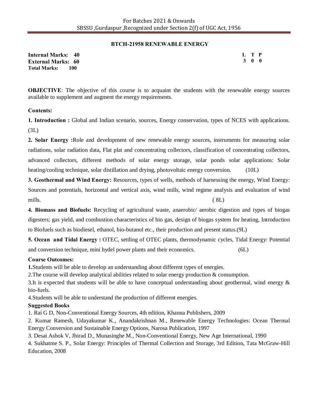### **BTCH-21958 RENEWABLE ENERGY**

**Internal Marks: 40 External Marks: 60 Total Marks: 100** 

**L T P 3 0 0**

**OBJECTIVE:** The objective of this course is to acquaint the students with the renewable energy sources available to supplement and augment the energy requirements.

### **Contents:**

**1. Introduction :** Global and Indian scenario, sources, Energy conservation, types of NCES with applications. (3L)

**2. Solar Energy :**Role and development of new renewable energy sources, instruments for measuring solar radiations, solar radiation data, Flat plat and concentrating collectors, classification of concentrating collectors, advanced collectors, different methods of solar energy storage, solar ponds solar applications: Solar heating/cooling technique, solar distillation and drying, photovoltaic energy conversion. (10L)

**3. Geothermal and Wind Energy:** Resources, types of wells, methods of harnessing the energy, Wind Energy: Sources and potentials, horizontal and vertical axis, wind mills, wind regime analysis and evaluation of wind mills. ( 8L)

**4. Biomass and Biofuels:** Recycling of agricultural waste, anaerobic/ aerobic digestion and types of biogas digesters; gas yield, and combustion characteristics of bio gas, design of biogas system for heating, Introduction to Biofuels such as biodiesel, ethanol, bio-butanol etc., their production and present status.(9L)

**5. Ocean and Tidal Energy :** OTEC, settling of OTEC plants, thermodynamic cycles, Tidal Energy: Potential and conversion technique, mini hydel power plants and their economics. (6L)

# **Course Outcomes:**

**1.**Students will be able to develop an understanding about different types of energies.

2.The course will develop analytical abilities related to solar energy production & consumption.

3.It is expected that students will be able to have conceptual understanding about geothermal, wind energy  $\&$ bio-fuels.

4.Students will be able to understand the production of different energies.

# **Suggested Books**

1. Rai G D, Non-Conventional Energy Sources, 4th edition, Khanna Publishers, 2009

2. Kumar Ramesh, Udayakumar K., Anandakrishnan M., Renewable Energy Technologies: Ocean Thermal Energy Conversion and Sustainable Energy Options, Narosa Publication, 1997

3. Desai Ashok V, Jhirad D., Munasinghe M., Non-Conventional Energy, New Age International, 1990

4. Sukhatme S. P., Solar Energy: Principles of Thermal Collection and Storage, 3rd Edition, Tata McGraw-Hill Education, 2008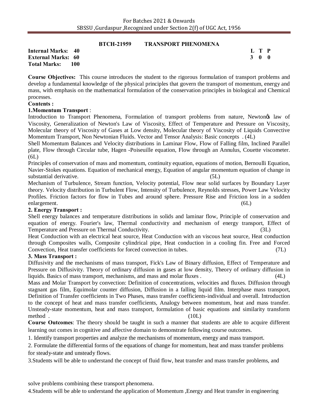**BECH-21959** TRANSPORT PHENOMENA

|                             | <b>BICH-21959</b> | TRANSPORT PHENOMENA |       |
|-----------------------------|-------------------|---------------------|-------|
| <b>Internal Marks: 40</b>   |                   |                     | L T P |
| <b>External Marks: 60</b>   |                   |                     | 3 O O |
| <b>Total Marks:</b><br>-100 |                   |                     |       |

**Course Objectives:** This course introduces the student to the rigorous formulation of transport problems and develop a fundamental knowledge of the physical principles that govern the transport of momentum, energy and mass, with emphasis on the mathematical formulation of the conservation principles in biological and Chemical processes.

#### **Contents :**

### **1.Momentum Transport** :

Introduction to Transport Phenomena, Formulation of transport problems from nature, Newtongs law of Viscosity, Generalization of Newton's Law of Viscosity, Effect of Temperature and Pressure on Viscosity, Molecular theory of Viscosity of Gases at Low density, Molecular theory of Viscosity of Liquids Convective Momentum Transport, Non Newtonian Fluids. Vector and Tensor Analysis: Basic concepts . (4L)

Shell Momentum Balances and Velocity distributions in Laminar Flow, Flow of Falling film, Inclined Parallel plate, Flow through Circular tube, Hagen -Poiseuille equation, Flow through an Annulus, Couette viscometer.  $(6L)$ 

Principles of conservation of mass and momentum, continuity equation, equations of motion, Bernoulli Equation, Navier-Stokes equations. Equation of mechanical energy, Equation of angular momentum equation of change in substantial derivative. (5L)

Mechanism of Turbulence, Stream function, Velocity potential, Flow near solid surfaces by Boundary Layer theory. Velocity distribution in Turbulent Flow, Intensity of Turbulence, Reynolds stresses, Power Law Velocity Profiles. Friction factors for flow in Tubes and around sphere. Pressure Rise and Friction loss in a sudden enlargement. (6L)

#### **2. Energy Transport :**

Shell energy balances and temperature distributions in solids and laminar flow, Principle of conservation and equation of energy. Fourier's law, Thermal conductivity and mechanism of energy transport, Effect of Temperature and Pressure on Thermal Conductivity. (3L)

Heat Conduction with an electrical heat source, Heat Conduction with an viscous heat source, Heat conduction through Composites walls, Composite cylindrical pipe, Heat conduction in a cooling fin. Free and Forced Convection, Heat transfer coefficients for forced convection in tubes. (7L)

#### **3. Mass Transport :**

Diffusivity and the mechanisms of mass transport, Fick's Law of Binary diffusion, Effect of Temperature and Pressure on Diffusivity. Theory of ordinary diffusion in gases at low density, Theory of ordinary diffusion in liquids. Basics of mass transport, mechanisms, and mass and molar fluxes . (4L)

Mass and Molar Transport by convection: Definition of concentrations, velocities and fluxes. Diffusion through stagnant gas film, Equimolar counter diffusion, Diffusion in a falling liquid film. Interphase mass transport, Definition of Transfer coefficients in Two Phases, mass transfer coefficients-individual and overall. Introduction to the concept of heat and mass transfer coefficients, Analogy between momentum, heat and mass transfer. Unsteady-state momentum, heat and mass transport, formulation of basic equations and similarity transform method . (10L)

**Course Outcomes**: The theory should be taught in such a manner that students are able to acquire different learning out comes in cognitive and affective domain to demonstrate following course outcomes.

1. Identify transport properties and analyze the mechanisms of momentum, energy and mass transport.

2. Formulate the differential forms of the equations of change for momentum, heat and mass transfer problems for steady-state and unsteady flows.

3.Students will be able to understand the concept of fluid flow, heat transfer and mass transfer problems, and

solve problems combining these transport phenomena.

4.Students will be able to understand the application of Momentum ,Energy and Heat transfer in engineering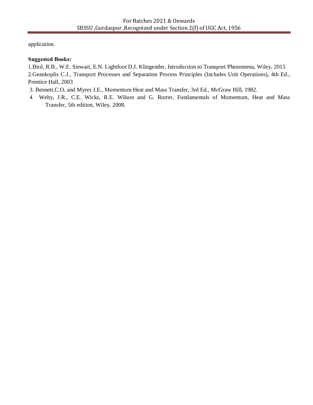application.

# **Suggested Books:**

1.Bird, R.B., W.E. Stewart, E.N. Lightfoot D.J. Klingender, Introduction to Transport Phenomena, Wiley, 2015

2.Geankoplis C.J., Transport Processes and Separation Process Principles (Includes Unit Operations), 4th Ed., Prentice Hall, 2003

3. Bennett.C.O. and Myres J.E., Momentum Heat and Mass Transfer, 3rd Ed., McGraw Hill, 1982.

4 Welty, J.R., C.E. Wicks, R.E. Wilson and G. Rorrer, Fundamentals of Momentum, Heat and Mass Transfer, 5th edition, Wiley, 2008.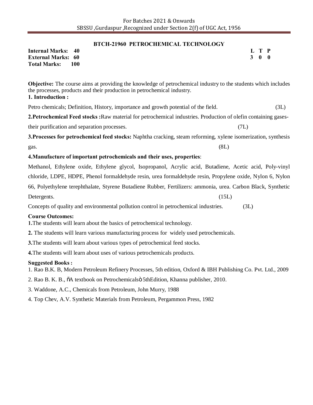#### **BTCH-21960 PETROCHEMICAL TECHNOLOGY**

**Internal Marks: 40 External Marks: 60 Total Marks: 100** 

**Objective:** The course aims at providing the knowledge of petrochemical industry to the students which includes the processes, products and their production in petrochemical industry. **1. Introduction :**

Petro chemicals; Definition, History, importance and growth potential of the field. (3L)

**2.Petrochemical Feed stocks :**Raw material for petrochemical industries. Production of olefin containing gasestheir purification and separation processes. (7L)

**3.Processes for petrochemical feed stocks:** Naphtha cracking, steam reforming, xylene isomerization, synthesis  $gas.$  (8L)

### **4.Manufacture of important petrochemicals and their uses, properties**:

Methanol, Ethylene oxide, Ethylene glycol, Isopropanol, Acrylic acid, Butadiene, Acetic acid, Poly-vinyl chloride, LDPE, HDPE, Phenol formaldehyde resin, urea formaldehyde resin, Propylene oxide, Nylon 6, Nylon 66, Polyethylene terephthalate, Styrene Butadiene Rubber, Fertilizers: ammonia, urea. Carbon Black, Synthetic Detergents. (15L)

Concepts of quality and environmental pollution control in petrochemical industries. (3L)

#### **Course Outcomes:**

**1.**The students will learn about the basics of petrochemical technology.

**2.** The students will learn various manufacturing process for widely used petrochemicals.

**3.**The students will learn about various types of petrochemical feed stocks.

**4.**The students will learn about uses of various petrochemicals products.

#### **Suggested Books :**

1. Rao B.K. B, Modern Petroleum Refinery Processes, 5th edition, Oxford & IBH Publishing Co. Pvt. Ltd., 2009

2. Rao B. K. B.,  $\delta A$  textbook on Petrochemicals 5thEdition, Khanna publisher, 2010.

3. Waddone, A.C., Chemicals from Petroleum, John Murry, 1988

4. Top Chev, A.V. Synthetic Materials from Petroleum, Pergammon Press, 1982

**L T P 3 0 0**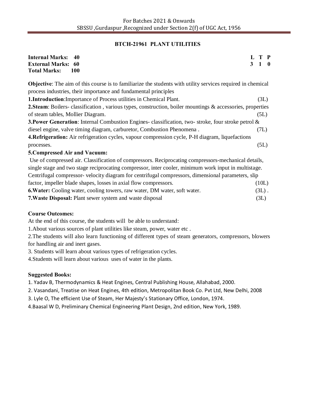### **BTCH-21961 PLANT UTILITIES**

| <b>Internal Marks:</b><br>40<br><b>External Marks: 60</b><br><b>Total Marks:</b><br><b>100</b>                     | 3 | T P<br>1 0 |  |
|--------------------------------------------------------------------------------------------------------------------|---|------------|--|
| <b>Objective:</b> The aim of this course is to familiarize the students with utility services required in chemical |   |            |  |
| process industries, their importance and fundamental principles                                                    |   |            |  |
| <b>1. Introduction:</b> Importance of Process utilities in Chemical Plant.                                         |   | (3L)       |  |
| <b>2.Steam:</b> Boilers- classification, various types, construction, boiler mountings & accessories, properties   |   |            |  |
| of steam tables, Mollier Diagram.                                                                                  |   | (5L)       |  |
| <b>3. Power Generation:</b> Internal Combustion Engines- classification, two-stroke, four stroke petrol $\&$       |   |            |  |
| diesel engine, valve timing diagram, carburetor, Combustion Phenomena.                                             |   | (7L)       |  |
| 4. Refrigeration: Air refrigeration cycles, vapour compression cycle, P-H diagram, liquefactions                   |   |            |  |
| processes.                                                                                                         |   | (5L)       |  |
| 5. Compressed Air and Vacuum:                                                                                      |   |            |  |
| Use of compressed air. Classification of compressors. Reciprocating compressors-mechanical details,                |   |            |  |
| single stage and two stage reciprocating compressor, inter cooler, minimum work input in multistage.               |   |            |  |
| Centrifugal compressor-velocity diagram for centrifugal compressors, dimensional parameters, slip                  |   |            |  |
| factor, impeller blade shapes, losses in axial flow compressors.                                                   |   | (10L)      |  |
| <b>6. Water:</b> Cooling water, cooling towers, raw water, DM water, soft water.                                   |   | $(3L)$ .   |  |
| <b>7. Waste Disposal:</b> Plant sewer system and waste disposal                                                    |   | (3L)       |  |

#### **Course Outcomes:**

At the end of this course, the students will be able to understand:

1.About various sources of plant utilities like steam, power, water etc .

2.The students will also learn functioning of different types of steam generators, compressors, blowers for handling air and inert gases.

3. Students will learn about various types of refrigeration cycles.

4.Students will learn about various uses of water in the plants.

# **Suggested Books:**

1. Yadav B, Thermodynamics & Heat Engines, Central Publishing House, Allahabad, 2000.

- 2. Vasandani, Treatise on Heat Engines, 4th edition, Metropolitan Book Co. Pvt Ltd, New Delhi, 2008
- 3. Lyle O, The efficient Use of Steam, Her Majesty's Stationary Office, London, 1974.
- 4.Baasal W D, Preliminary Chemical Engineering Plant Design, 2nd edition, New York, 1989.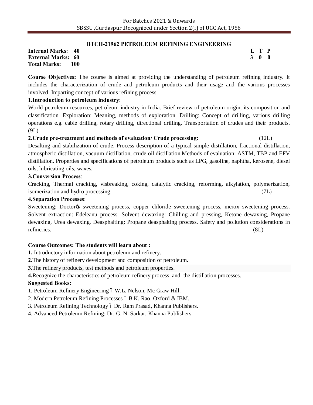#### **BTCH-21962 PETROLEUM REFINING ENGINEERING**

**Internal Marks: 40 External Marks: 60 Total Marks: 100**  **L T P 3 0 0**

**Course Objectives:** The course is aimed at providing the understanding of petroleum refining industry. It includes the characterization of crude and petroleum products and their usage and the various processes involved. Imparting concept of various refining process.

# **1.Introduction to petroleum industry**:

World petroleum resources, petroleum industry in India. Brief review of petroleum origin, its composition and classification. Exploration: Meaning, methods of exploration. Drilling: Concept of drilling, various drilling operations e.g. cable drilling, rotary drilling, directional drilling. Transportation of crudes and their products. (9L)

### **2.Crude pre-treatment and methods of evaluation/ Crude processing:** (12L)

Desalting and stabilization of crude. Process description of a typical simple distillation, fractional distillation, atmospheric distillation, vacuum distillation, crude oil distillation.Methods of evaluation: ASTM, TBP and EFV distillation. Properties and specifications of petroleum products such as LPG, gasoline, naphtha, kerosene, diesel oils, lubricating oils, waxes.

#### **3.Conversion Process**:

Cracking, Thermal cracking, visbreaking, coking, catalytic cracking, reforming, alkylation, polymerization, isomerization and hydro processing. (7L)

#### **4.Separation Processes**:

Sweetening: Doctor<sub>of</sub> sweetening process, copper chloride sweetening process, merox sweetening process. Solvent extraction: Edeleanu process. Solvent dewaxing: Chilling and pressing, Ketone dewaxing, Propane dewaxing, Urea dewaxing. Deasphalting: Propane deasphalting process. Safety and pollution considerations in refineries. (8L)

# **Course Outcomes: The students will learn about :**

- **1.** Introductory information about petroleum and refinery.
- **2.**The history of refinery development and composition of petroleum.

**3.**The refinery products, test methods and petroleum properties.

**4.**Recognize the characteristics of petroleum refinery process and the distillation processes.

# **Suggested Books:**

1. Petroleum Refinery Engineering 6 W.L. Nelson, Mc Graw Hill.

- 2. Modern Petroleum Refining Processes ó B.K. Rao. Oxford & IBM.
- 3. Petroleum Refining Technology ó Dr. Ram Prasad, Khanna Publishers.
- 4. Advanced Petroleum Refining: Dr. G. N. Sarkar, Khanna Publishers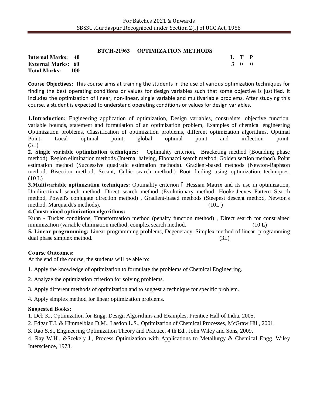# **BTCH-21963 OPTIMIZATION METHODS**

**Internal Marks: 40 External Marks: 60 Total Marks: 100**  **L T P 3 0 0**

**Course Objectives:** This course aims at training the students in the use of various optimization techniques for finding the best operating conditions or values for design variables such that some objective is justified. It includes the optimization of linear, non-linear, single variable and multivariable problems. After studying this course, a student is expected to understand operating conditions or values for design variables.

**1.Introduction:** Engineering application of optimization, Design variables, constraints, objective function, variable bounds, statement and formulation of an optimization problem, Examples of chemical engineering Optimization problems, Classification of optimization problems, different optimization algorithms. Optimal Point: Local optimal point, global optimal point and inflection point. **(**3L)

**2. Single variable optimization techniques:** Optimality criterion, Bracketing method (Bounding phase method). Region elimination methods (Internal halving, Fibonacci search method, Golden section method). Point estimation method (Successive quadratic estimation methods). Gradient-based methods (Newton-Raphson method, Bisection method, Secant, Cubic search method.) Root finding using optimization techniques.  $(10 L)$ 

**3. Multivariable optimization techniques:** Optimality criterion 6 Hessian Matrix and its use in optimization, Unidirectional search method. Direct search method (Evolutionary method, Hooke-Jeeves Pattern Search method, Powell's conjugate direction method) , Gradient-based methods (Steepest descent method, Newton's method, Marquardt's methods). (10L )

#### **4.Constrained optimization algorithms:**

Kuhn - Tucker conditions, Transformation method (penalty function method) , Direct search for constrained minimization (variable elimination method, complex search method. (10 L) (10 L)

**5. Linear programming:** Linear programming problems, Degeneracy, Simplex method of linear programming dual phase simplex method. (3L)

#### **Course Outcomes:**

At the end of the course, the students will be able to:

1. Apply the knowledge of optimization to formulate the problems of Chemical Engineering.

2. Analyze the optimization criterion for solving problems.

3. Apply different methods of optimization and to suggest a technique for specific problem.

4. Apply simplex method for linear optimization problems.

#### **Suggested Books:**

1. Deb K., Optimization for Engg. Design Algorithms and Examples, Prentice Hall of India, 2005.

2. Edgar T.I. & Himmelblau D.M., Lasdon L.S., Optimization of Chemical Processes, McGraw Hill, 2001.

3. Rao S.S., Engineering Optimization Theory and Practice, 4 th Ed., John Wiley and Sons, 2009.

4. Ray W.H., &Szekely J., Process Optimization with Applications to Metallurgy & Chemical Engg. Wiley Interscience, 1973.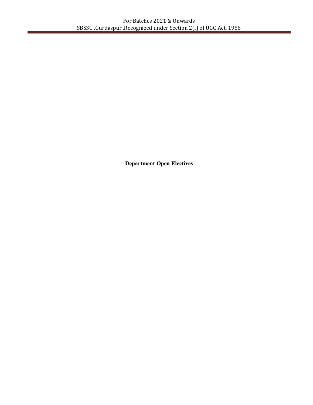**Department Open Electives**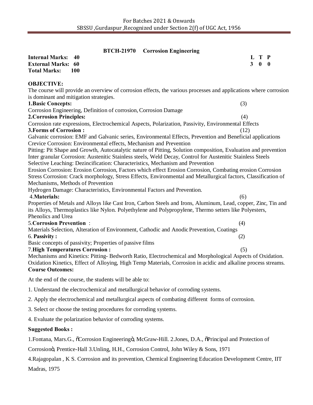|                                                                                                                                             |            | <b>BTCH-21970</b> Corrosion Engineering |      |                |                     |  |
|---------------------------------------------------------------------------------------------------------------------------------------------|------------|-----------------------------------------|------|----------------|---------------------|--|
| <b>Internal Marks:</b><br><b>External Marks:</b>                                                                                            | 40<br>60   |                                         |      | 3 <sup>1</sup> | L T P<br>$0\quad 0$ |  |
| <b>Total Marks:</b>                                                                                                                         | <b>100</b> |                                         |      |                |                     |  |
| <b>OBJECTIVE:</b>                                                                                                                           |            |                                         |      |                |                     |  |
| The course will provide an overview of corrosion effects, the various processes and applications where corrosion                            |            |                                         |      |                |                     |  |
| is dominant and mitigation strategies.                                                                                                      |            |                                         |      |                |                     |  |
| <b>1. Basic Concepts:</b>                                                                                                                   |            |                                         | (3)  |                |                     |  |
| Corrosion Engineering, Definition of corrosion, Corrosion Damage                                                                            |            |                                         |      |                |                     |  |
| <b>2. Corrosion Principles:</b>                                                                                                             |            |                                         | (4)  |                |                     |  |
| Corrosion rate expressions, Electrochemical Aspects, Polarization, Passivity, Environmental Effects                                         |            |                                         |      |                |                     |  |
| <b>3. Forms of Corrosion:</b><br>Galvanic corrosion: EMF and Galvanic series, Environmental Effects, Prevention and Beneficial applications |            |                                         | (12) |                |                     |  |
| Crevice Corrosion: Environmental effects, Mechanism and Prevention                                                                          |            |                                         |      |                |                     |  |
| Pitting: Pit Shape and Growth, Autocatalytic nature of Pitting, Solution composition, Evaluation and prevention                             |            |                                         |      |                |                     |  |
| Inter granular Corrosion: Austenitic Stainless steels, Weld Decay, Control for Austenitic Stainless Steels                                  |            |                                         |      |                |                     |  |
| Selective Leaching: Dezincification: Characteristics, Mechanism and Prevention                                                              |            |                                         |      |                |                     |  |
| Erosion Corrosion: Erosion Corrosion, Factors which effect Erosion Corrosion, Combating erosion Corrosion                                   |            |                                         |      |                |                     |  |
| Stress Corrosion: Crack morphology, Stress Effects, Environmental and Metallurgical factors, Classification of                              |            |                                         |      |                |                     |  |
| Mechanisms, Methods of Prevention                                                                                                           |            |                                         |      |                |                     |  |
| Hydrogen Damage: Characteristics, Environmental Factors and Prevention.                                                                     |            |                                         |      |                |                     |  |
| 4. Materials:                                                                                                                               |            |                                         | (6)  |                |                     |  |
| Properties of Metals and Alloys like Cast Iron, Carbon Steels and Irons, Aluminum, Lead, copper, Zinc, Tin and                              |            |                                         |      |                |                     |  |
| its Alloys, Thermoplastics like Nylon. Polyethylene and Polypropylene, Thermo setters like Polyesters,                                      |            |                                         |      |                |                     |  |
| Phenolics and Urea                                                                                                                          |            |                                         |      |                |                     |  |
| <b>5. Corrosion Prevention:</b>                                                                                                             |            |                                         | (4)  |                |                     |  |
| Materials Selection, Alteration of Environment, Cathodic and Anodic Prevention, Coatings                                                    |            |                                         |      |                |                     |  |
| 6. Passivity:<br>Basic concepts of passivity; Properties of passive films                                                                   |            |                                         | (2)  |                |                     |  |
| <b>7. High Temperatures Corrosion:</b>                                                                                                      |            |                                         | (5)  |                |                     |  |
| Mechanisms and Kinetics: Pitting-Bedworth Ratio, Electrochemical and Morphological Aspects of Oxidation.                                    |            |                                         |      |                |                     |  |
| Oxidation Kinetics, Effect of Alloying, High Temp Materials, Corrosion in acidic and alkaline process streams.                              |            |                                         |      |                |                     |  |
| <b>Course Outcomes:</b>                                                                                                                     |            |                                         |      |                |                     |  |
| At the end of the course, the students will be able to:                                                                                     |            |                                         |      |                |                     |  |
| 1. Understand the electrochemical and metallurgical behavior of corroding systems.                                                          |            |                                         |      |                |                     |  |
| 2. Apply the electrochemical and metallurgical aspects of combating different forms of corrosion.                                           |            |                                         |      |                |                     |  |
| 3. Select or choose the testing procedures for corroding systems.                                                                           |            |                                         |      |                |                     |  |
| 4. Evaluate the polarization behavior of corroding systems.                                                                                 |            |                                         |      |                |                     |  |

# **Suggested Books :**

1.Fontana, Mars.G.,  $\tilde{o}$ Corrosion Engineeringö, McGraw-Hill. 2.Jones, D.A.,  $\tilde{o}$ Principal and Protection of

Corrosion", Prentice-Hall 3.Unling, H.H., Corrosion Control, John Wiley & Sons, 1971

4.Rajagopalan , K S. Corrosion and its prevention, Chemical Engineering Education Development Centre, IIT

Madras, 1975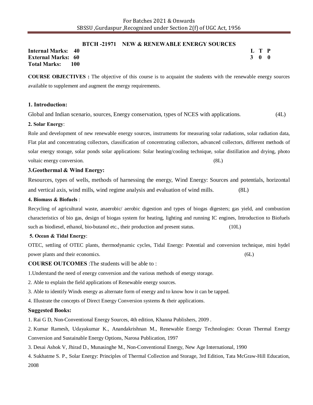#### **BTCH -21971 NEW & RENEWABLE ENERGY SOURCES**

**Internal Marks: 40 External Marks: 60 Total Marks: 100**  **L T P 3 0 0**

**COURSE OBJECTIVES :** The objective of this course is to acquaint the students with the renewable energy sources available to supplement and augment the energy requirements.

#### **1. Introduction:**

Global and Indian scenario, sources, Energy conservation, types of NCES with applications. (4L)

#### **2. Solar Energy**:

Role and development of new renewable energy sources, instruments for measuring solar radiations, solar radiation data, Flat plat and concentrating collectors, classification of concentrating collectors, advanced collectors, different methods of solar energy storage, solar ponds solar applications: Solar heating/cooling technique, solar distillation and drying, photo voltaic energy conversion. (8L) (8L)

#### **3.Geothermal & Wind Energy:**

Resources, types of wells, methods of harnessing the energy, Wind Energy: Sources and potentials, horizontal and vertical axis, wind mills, wind regime analysis and evaluation of wind mills. (8L)

#### **4. Biomass & Biofuels** :

Recycling of agricultural waste, anaerobic/ aerobic digestion and types of biogas digesters; gas yield, and combustion characteristics of bio gas, design of biogas system for heating, lighting and running IC engines, Introduction to Biofuels such as biodiesel, ethanol, bio-butanol etc., their production and present status. (10L)

#### **5. Ocean & Tidal Energy**:

OTEC, settling of OTEC plants, thermodynamic cycles, Tidal Energy: Potential and conversion technique, mini hydel power plants and their economics. (6L)

**COURSE OUTCOMES** :The students will be able to :

1.Understand the need of energy conversion and the various methods of energy storage.

2. Able to explain the field applications of Renewable energy sources.

3. Able to identify Winds energy as alternate form of energy and to know how it can be tapped.

4. Illustrate the concepts of Direct Energy Conversion systems & their applications.

#### **Suggested Books:**

1. Rai G D, Non-Conventional Energy Sources, 4th edition, Khanna Publishers, 2009 .

2. Kumar Ramesh, Udayakumar K., Anandakrishnan M., Renewable Energy Technologies: Ocean Thermal Energy Conversion and Sustainable Energy Options, Narosa Publication, 1997

3. Desai Ashok V, Jhirad D., Munasinghe M., Non-Conventional Energy, New Age International, 1990

4. Sukhatme S. P., Solar Energy: Principles of Thermal Collection and Storage, 3rd Edition, Tata McGraw-Hill Education, 2008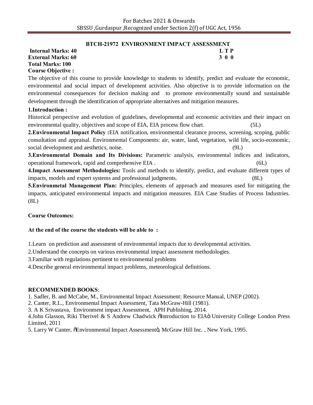### **BTCH-21972 ENVIRONMENT IMPACT ASSESSMENT**

**Total Marks: 100 Course Objective :**

**Internal Marks: 40 L T P L T P External Marks: 60 3 0 0** 3 0 0 3 0 0 3 0 0 3 0 0 3 0 0 3 0 0 3 0 0 3 0 0 3 0 0 3 0 4  $\sigma$ 

The objective of this course to provide knowledge to students to identify, predict and evaluate the economic, environmental and social impact of development activities. Also objective is to provide information on the environmental consequences for decision making and to promote environmentally sound and sustainable development through the identification of appropriate alternatives and mitigation measures.

# **1.Introduction :**

Historical perspective and evolution of guidelines, developmental and economic activities and their impact on environmental quality, objectives and scope of EIA, EIA process flow chart. (5L)

**2.Environmental Impact Policy :**EIA notification, environmental clearance process, screening, scoping, public consultation and appraisal. Environmental Components: air, water, land, vegetation, wild life, socio-economic, social development and aesthetics, noise. (9L)

**3.Environmental Domain and Its Divisions:** Parametric analysis, environmental indices and indicators, operational framework, rapid and comprehensive EIA . (6L)

**4.Impact Assessment Methodologies:** Tools and methods to identify, predict, and evaluate different types of impacts, models and expert systems and professional judgments. (8L)

**5.Environmetal Management Plan:** Principles, elements of approach and measures used for mitigating the impacts, anticipated environmental impacts and mitigation measures. EIA Case Studies of Process Industries. (8L)

# **Course Outcomes:**

# **At the end of the course the students will be able to :**

1.Learn on prediction and assessment of environmental impacts due to developmental activities.

2.Understand the concepts on various environmental impact assessment methodologies.

3.Familiar with regulations pertinent to environmental problems

4.Describe general environmental impact problems, meteorological definitions.

# **RECOMMENDED BOOKS**:

1. Sadler, B. and McCabe, M., Environmental Impact Assessment: Resource Manual, UNEP (2002).

2. Canter, R.L., Environmental Impact Assessment, Tata McGraw-Hill (1981).

3. A K Srivastava, Environment impact Assessment, APH Publishing, 2014.

4.John Glasson, Riki Therivel & S Andrew Chadwick õIntroduction to EIAö University College London Press Limited, 2011

5. Larry W Canter,  $\delta$ Environmental Impact Assessmentö, McGraw Hill Inc., New York, 1995.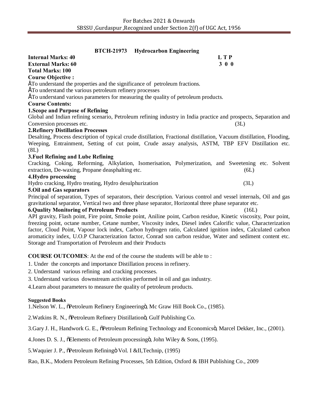| <b>BTCH-21973</b><br><b>Hydrocarbon Engineering</b>                                                                                                                                                                         |            |
|-----------------------------------------------------------------------------------------------------------------------------------------------------------------------------------------------------------------------------|------------|
| <b>Internal Marks: 40</b>                                                                                                                                                                                                   | <b>LTP</b> |
| <b>External Marks: 60</b>                                                                                                                                                                                                   | 300        |
| <b>Total Marks: 100</b>                                                                                                                                                                                                     |            |
| <b>Course Objective:</b>                                                                                                                                                                                                    |            |
| ETo understand the properties and the significance of petroleum fractions.                                                                                                                                                  |            |
| ETo understand the various petroleum refinery processes                                                                                                                                                                     |            |
| ETo understand various parameters for measuring the quality of petroleum products.                                                                                                                                          |            |
| <b>Course Contents:</b>                                                                                                                                                                                                     |            |
| <b>1. Scope and Purpose of Refining</b>                                                                                                                                                                                     |            |
| Global and Indian refining scenario, Petroleum refining industry in India practice and prospects, Separation and                                                                                                            |            |
| Conversion processes etc.                                                                                                                                                                                                   | (3L)       |
| <b>2. Refinery Distillation Processes</b>                                                                                                                                                                                   |            |
| Desalting, Process description of typical crude distillation, Fractional distillation, Vacuum distillation, Flooding,                                                                                                       |            |
| Weeping, Entrainment, Setting of cut point, Crude assay analysis, ASTM, TBP EFV Distillation etc.                                                                                                                           |            |
| (8L)                                                                                                                                                                                                                        |            |
| 3. Fuel Refining and Lube Refining                                                                                                                                                                                          |            |
| Cracking, Coking, Reforming, Alkylation, Isomerisation, Polymerization, and Sweetening etc. Solvent                                                                                                                         |            |
| extraction, De-waxing, Propane deasphalting etc.                                                                                                                                                                            | (6L)       |
| 4. Hydro processing                                                                                                                                                                                                         |            |
| Hydro cracking, Hydro treating, Hydro desulphurization                                                                                                                                                                      | (3L)       |
| <b>5.0il and Gas separators</b>                                                                                                                                                                                             |            |
| Principal of separation, Types of separators, their description. Various control and vessel internals, Oil and gas                                                                                                          |            |
| gravitational separator, Vertical two and three phase separator, Horizontal three phase separator etc.                                                                                                                      |            |
| <b>6.Quality Monitoring of Petroleum Products</b>                                                                                                                                                                           | (16L)      |
| API gravity, Flash point, Fire point, Smoke point, Aniline point, Carbon residue, Kinetic viscosity, Pour point,                                                                                                            |            |
| freezing point, octane number, Cetane number, Viscosity index, Diesel index Calorific value, Characterization                                                                                                               |            |
| factor, Cloud Point, Vapour lock index, Carbon hydrogen ratio, Calculated ignition index, Calculated carbon<br>aromaticity index, U.O.P Characterization factor, Conrad son carbon residue, Water and sediment content etc. |            |
| Storage and Transportation of Petroleum and their Products                                                                                                                                                                  |            |
|                                                                                                                                                                                                                             |            |
| <b>COURSE OUTCOMES:</b> At the end of the course the students will be able to:                                                                                                                                              |            |
| 1. Under the concepts and importance Distillation process in refinery.                                                                                                                                                      |            |
| 2. Understand various refining and cracking processes.                                                                                                                                                                      |            |
| 3. Understand various downstream activities performed in oil and gas industry.                                                                                                                                              |            |

4.Learn about parameters to measure the quality of petroleum products.

#### **Suggested Books**

1. Nelson W. L.,  $\delta$ Petroleum Refinery Engineeringö, Mc Graw Hill Book Co., (1985).

2. Watkins R. N., õPetroleum Refinery Distillationö, Gulf Publishing Co.

3.Gary J. H., Handwork G. E.,  $\tilde{o}$ Petroleum Refining Technology and Economicsö, Marcel Dekker, Inc., (2001).

4. Jones D. S. J., õElements of Petroleum processingö, John Wiley & Sons, (1995).

5. Waquier J. P.,  $\delta$ Petroleum Refiningö Vol. I &II, Technip, (1995)

Rao, B.K., Modern Petroleum Refining Processes, 5th Edition, Oxford & IBH Publishing Co., 2009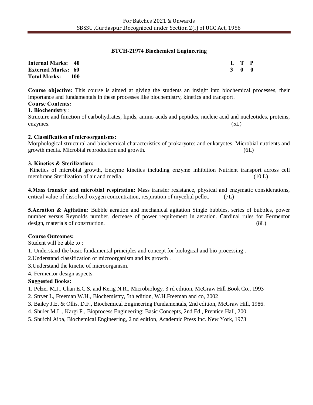# **BTCH-21974 Biochemical Engineering**

| <b>Internal Marks: 40</b> | L T P |  |
|---------------------------|-------|--|
| <b>External Marks: 60</b> | 3 0 0 |  |
| Total Marks: 100          |       |  |

**Course objective:** This course is aimed at giving the students an insight into biochemical processes, their importance and fundamentals in these processes like biochemistry, kinetics and transport.

# **Course Contents:**

**1. Biochemistry** :

Structure and function of carbohydrates, lipids, amino acids and peptides, nucleic acid and nucleotides, proteins, enzymes. (5L)

### **2. Classification of microorganisms:**

Morphological structural and biochemical characteristics of prokaryotes and eukaryotes. Microbial nutrients and growth media. Microbial reproduction and growth. (6L)

### **3. Kinetics & Sterilization:**

Kinetics of microbial growth, Enzyme kinetics including enzyme inhibition Nutrient transport across cell membrane Sterilization of air and media. (10 L) (10 L)

**4.Mass transfer and microbial respiration:** Mass transfer resistance, physical and enzymatic considerations, critical value of dissolved oxygen concentration, respiration of mycelial pellet. (7L)

**5. Aeration & Agitation:** Bubble aeration and mechanical agitation Single bubbles, series of bubbles, power number versus Reynolds number, decrease of power requirement in aeration. Cardinal rules for Fermentor design, materials of construction. (8L)

# **Course Outcomes:**

Student will be able to :

1. Understand the basic fundamental principles and concept for biological and bio processing .

2.Understand classification of microorganism and its growth .

3.Understand the kinetic of microorganism.

4. Fermentor design aspects.

# **Suggested Books:**

- 1. Pelzer M.J., Chan E.C.S. and Kerig N.R., Microbiology, 3 rd edition, McGraw Hill Book Co., 1993
- 2. Stryer L, Freeman W.H., Biochemistry, 5th edition, W.H.Freeman and co, 2002
- 3. Bailey J.E. & Ollis, D.F., Biochemical Engineering Fundamentals, 2nd edition, McGraw Hill, 1986.
- 4. Shuler M.L., Kargi F., Bioprocess Engineering: Basic Concepts, 2nd Ed., Prentice Hall, 200
- 5. Shuichi Aiba, Biochemical Engineering, 2 nd edition, Academic Press Inc. New York, 1973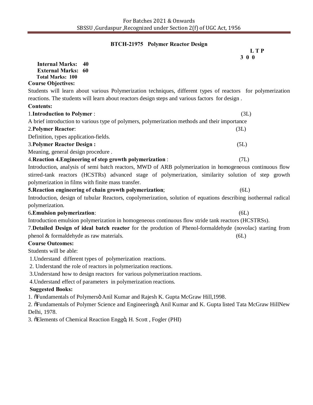# **BTCH-21975 Polymer Reactor Design**

|                                                                                                                 | L T P |
|-----------------------------------------------------------------------------------------------------------------|-------|
| <b>Internal Marks:</b><br>40                                                                                    | 300   |
| <b>External Marks: 60</b>                                                                                       |       |
| <b>Total Marks: 100</b>                                                                                         |       |
| <b>Course Objectives:</b>                                                                                       |       |
| Students will learn about various Polymerization techniques, different types of reactors for polymerization     |       |
| reactions. The students will learn about reactors design steps and various factors for design.                  |       |
| <b>Contents:</b>                                                                                                |       |
| 1. Introduction to Polymer :                                                                                    | (3L)  |
| A brief introduction to various type of polymers, polymerization methods and their importance                   |       |
| 2. Polymer Reactor:                                                                                             | (3L)  |
| Definition, types application-fields.                                                                           |       |
| <b>3. Polymer Reactor Design:</b>                                                                               | (5L)  |
| Meaning, general design procedure.                                                                              |       |
| 4. Reaction 4. Engineering of step growth polymerization:                                                       | (7L)  |
| Introduction, analysis of semi-batch reactors, MWD of ARB polymerization in homogeneous continuous flow         |       |
| stirred-tank reactors (HCSTRs) advanced stage of polymerization, similarity solution of step growth             |       |
| polymerization in films with finite mass transfer.                                                              |       |
| 5. Reaction engineering of chain growth polymerization;                                                         | (6L)  |
| Introduction, design of tubular Reactors, copolymerization, solution of equations describing isothermal radical |       |
| polymerization.                                                                                                 |       |
| 6. Emulsion polymerization:                                                                                     | (6L)  |
| Introduction emulsion polymerization in homogeneous continuous flow stride tank reactors (HCSTRSs).             |       |
| 7. Detailed Design of ideal batch reactor for the prodution of Phenol-formaldehyde (novolac) starting from      |       |
| phenol & formaldehyde as raw materials.                                                                         | (6L)  |
| <b>Course Outcomes:</b>                                                                                         |       |
| Students will be able:                                                                                          |       |
| 1. Understand different types of polymerization reactions.                                                      |       |
| 2. Understand the role of reactors in polymerization reactions.                                                 |       |
| 3. Understand how to design reactors for various polymerization reactions.                                      |       |
| 4. Understand effect of parameters in polymerization reactions.                                                 |       |
| <b>Suggested Books:</b>                                                                                         |       |
| 1. õFundamentals of Polymersö Anil Kumar and Rajesh K. Gupta McGraw Hill, 1998.                                 |       |

2. õFundamentals of Polymer Science and Engineeringö, Anil Kumar and K. Gupta listed Tata McGraw HillNew Delhi, 1978.

3. õElements of Chemical Reaction Enggö, H. Scott, Fogler (PHI)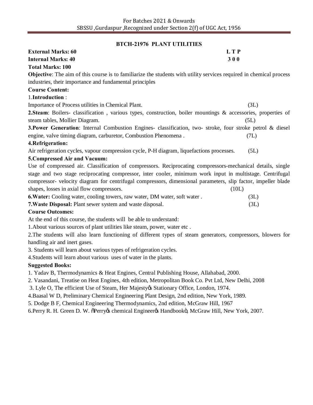# **BTCH-21976 PLANT UTILITIES**

| <b>External Marks: 60</b>                                                                                           | <b>LTP</b> |  |
|---------------------------------------------------------------------------------------------------------------------|------------|--|
| <b>Internal Marks: 40</b>                                                                                           | 300        |  |
| <b>Total Marks: 100</b>                                                                                             |            |  |
| Objective: The aim of this course is to familiarize the students with utility services required in chemical process |            |  |
| industries, their importance and fundamental principles                                                             |            |  |
| <b>Course Content:</b>                                                                                              |            |  |
| 1.Introduction:                                                                                                     |            |  |
| Importance of Process utilities in Chemical Plant.                                                                  | (3L)       |  |
| 2. Steam: Boilers- classification, various types, construction, boiler mountings & accessories, properties of       |            |  |
| steam tables, Mollier Diagram.                                                                                      | (5L)       |  |
| 3. Power Generation: Internal Combustion Engines- classification, two- stroke, four stroke petrol & diesel          |            |  |
| engine, valve timing diagram, carburetor, Combustion Phenomena.                                                     | (7L)       |  |
| 4. Refrigeration:                                                                                                   |            |  |
| Air refrigeration cycles, vapour compression cycle, P-H diagram, liquefactions processes.                           | (5L)       |  |
| 5. Compressed Air and Vacuum:                                                                                       |            |  |
| Use of compressed air. Classification of compressors. Reciprocating compressors-mechanical details, single          |            |  |
| stage and two stage reciprocating compressor, inter cooler, minimum work input in multistage. Centrifugal           |            |  |
| compressor- velocity diagram for centrifugal compressors, dimensional parameters, slip factor, impeller blade       |            |  |
| shapes, losses in axial flow compressors.                                                                           | (10L)      |  |
| 6. Water: Cooling water, cooling towers, raw water, DM water, soft water.                                           | (3L)       |  |
| 7. Waste Disposal: Plant sewer system and waste disposal.                                                           | (3L)       |  |
| <b>Course Outcomes:</b>                                                                                             |            |  |
| At the end of this course, the students will be able to understand:                                                 |            |  |
| 1. About various sources of plant utilities like steam, power, water etc.                                           |            |  |
| 2. The students will also learn functioning of different types of steam generators, compressors, blowers for        |            |  |
| handling air and inert gases.                                                                                       |            |  |
| 3. Students will learn about various types of refrigeration cycles.                                                 |            |  |
| 4. Students will learn about various uses of water in the plants.                                                   |            |  |
| <b>Suggested Books:</b>                                                                                             |            |  |
| 1. Yadav B, Thermodynamics & Heat Engines, Central Publishing House, Allahabad, 2000.                               |            |  |
| 2. Vasandani, Treatise on Heat Engines, 4th edition, Metropolitan Book Co. Pvt Ltd, New Delhi, 2008                 |            |  |
| 3. Lyle O, The efficient Use of Steam, Her Majesty & Stationary Office, London, 1974.                               |            |  |
| 4. Baasal W D, Preliminary Chemical Engineering Plant Design, 2nd edition, New York, 1989.                          |            |  |
| 5. Dodge B F, Chemical Engineering Thermodynamics, 2nd edition, McGraw Hill, 1967                                   |            |  |
| 6. Perry R. H. Green D. W. õPerryøs chemical Engineerøs Handbookö, McGraw Hill, New York, 2007.                     |            |  |
|                                                                                                                     |            |  |
|                                                                                                                     |            |  |